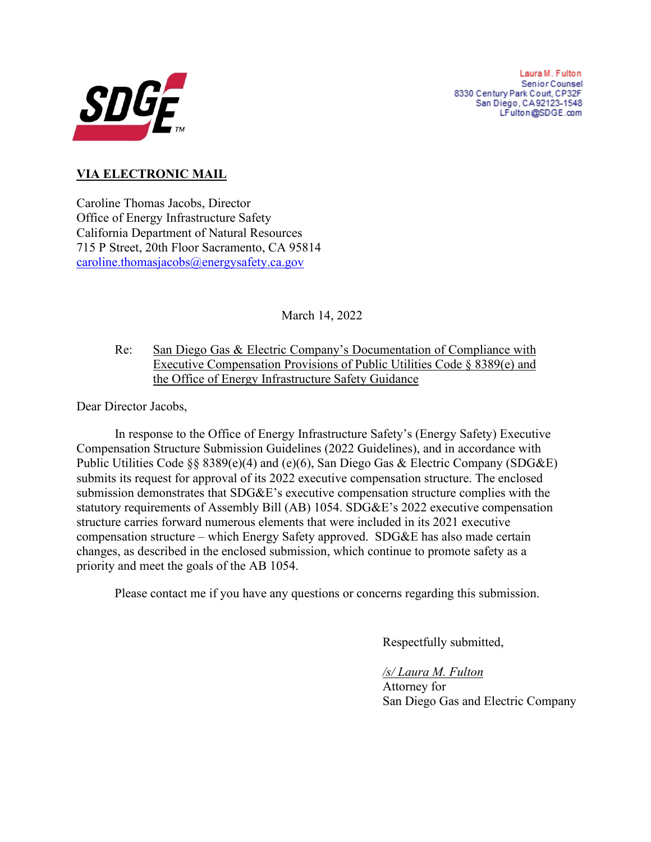

Laura M. Fulton Senior Counsel 8330 Century Park Court, CP32F San Diego, CA92123-1548 LFulton@SDGE.com

## **VIA ELECTRONIC MAIL**

Caroline Thomas Jacobs, Director Office of Energy Infrastructure Safety California Department of Natural Resources 715 P Street, 20th Floor Sacramento, CA 95814 [caroline.thomasjacobs@energysafety.ca.gov](mailto:caroline.thomasjacobs@energysafety.ca.gov)

March 14, 2022

Re: San Diego Gas & Electric Company's Documentation of Compliance with Executive Compensation Provisions of Public Utilities Code § 8389(e) and the Office of Energy Infrastructure Safety Guidance

Dear Director Jacobs,

In response to the Office of Energy Infrastructure Safety's (Energy Safety) Executive Compensation Structure Submission Guidelines (2022 Guidelines), and in accordance with Public Utilities Code §§ 8389(e)(4) and (e)(6), San Diego Gas & Electric Company (SDG&E) submits its request for approval of its 2022 executive compensation structure. The enclosed submission demonstrates that SDG&E's executive compensation structure complies with the statutory requirements of Assembly Bill (AB) 1054. SDG&E's 2022 executive compensation structure carries forward numerous elements that were included in its 2021 executive compensation structure – which Energy Safety approved. SDG&E has also made certain changes, as described in the enclosed submission, which continue to promote safety as a priority and meet the goals of the AB 1054.

Please contact me if you have any questions or concerns regarding this submission.

Respectfully submitted,

## */s/ Laura M. Fulton*

Attorney for San Diego Gas and Electric Company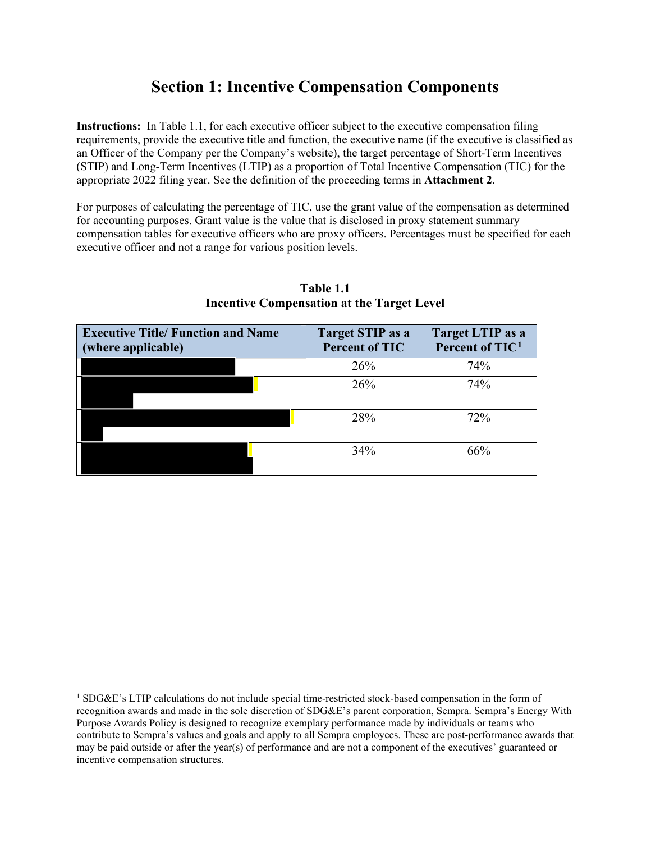# **Section 1: Incentive Compensation Components**

**Instructions:** In Table 1.1, for each executive officer subject to the executive compensation filing requirements, provide the executive title and function, the executive name (if the executive is classified as an Officer of the Company per the Company's website), the target percentage of Short-Term Incentives (STIP) and Long-Term Incentives (LTIP) as a proportion of Total Incentive Compensation (TIC) for the appropriate 2022 filing year. See the definition of the proceeding terms in **Attachment 2**.

For purposes of calculating the percentage of TIC, use the grant value of the compensation as determined for accounting purposes. Grant value is the value that is disclosed in proxy statement summary compensation tables for executive officers who are proxy officers. Percentages must be specified for each executive officer and not a range for various position levels.

| <b>Executive Title/ Function and Name</b><br>(where applicable) | Target STIP as a<br><b>Percent of TIC</b> | Target LTIP as a<br>Percent of TIC <sup>1</sup> |
|-----------------------------------------------------------------|-------------------------------------------|-------------------------------------------------|
|                                                                 | 26%                                       | 74%                                             |
|                                                                 | 26%                                       | 74%                                             |
|                                                                 | 28%                                       | 72%                                             |
|                                                                 | 34%                                       | 66%                                             |

## **Table 1.1 Incentive Compensation at the Target Level**

<span id="page-1-0"></span><sup>&</sup>lt;sup>1</sup> SDG&E's LTIP calculations do not include special time-restricted stock-based compensation in the form of recognition awards and made in the sole discretion of SDG&E's parent corporation, Sempra. Sempra's Energy With Purpose Awards Policy is designed to recognize exemplary performance made by individuals or teams who contribute to Sempra's values and goals and apply to all Sempra employees. These are post-performance awards that may be paid outside or after the year(s) of performance and are not a component of the executives' guaranteed or incentive compensation structures.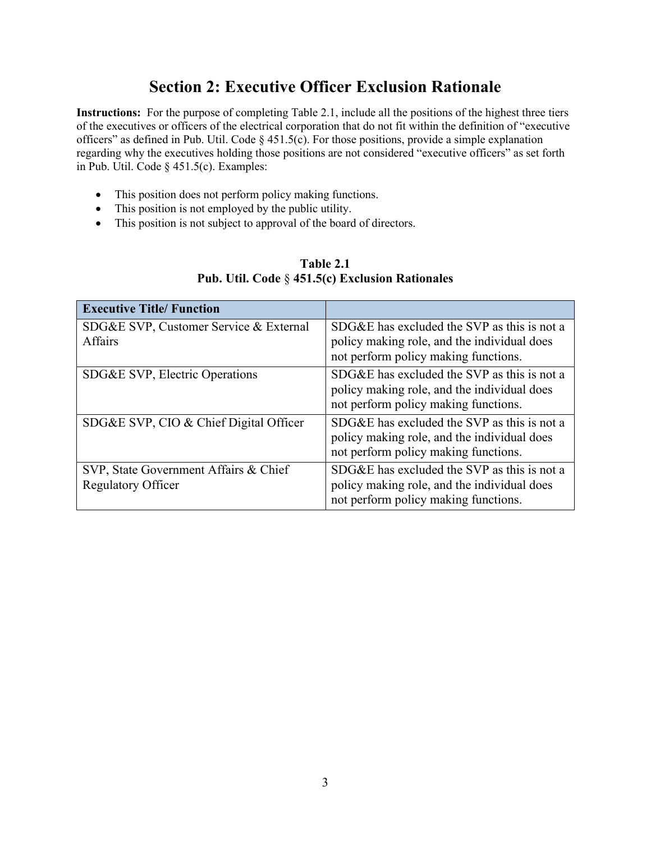# **Section 2: Executive Officer Exclusion Rationale**

**Instructions:** For the purpose of completing Table 2.1, include all the positions of the highest three tiers of the executives or officers of the electrical corporation that do not fit within the definition of "executive officers" as defined in Pub. Util. Code § 451.5(c). For those positions, provide a simple explanation regarding why the executives holding those positions are not considered "executive officers" as set forth in Pub. Util. Code § 451.5(c). Examples:

- This position does not perform policy making functions.
- This position is not employed by the public utility.
- This position is not subject to approval of the board of directors.

| <b>Executive Title/Function</b>                                    |                                                                                                                                    |
|--------------------------------------------------------------------|------------------------------------------------------------------------------------------------------------------------------------|
| SDG&E SVP, Customer Service & External<br>Affairs                  | SDG&E has excluded the SVP as this is not a<br>policy making role, and the individual does<br>not perform policy making functions. |
| SDG&E SVP, Electric Operations                                     | SDG&E has excluded the SVP as this is not a<br>policy making role, and the individual does<br>not perform policy making functions. |
| SDG&E SVP, CIO & Chief Digital Officer                             | SDG&E has excluded the SVP as this is not a<br>policy making role, and the individual does<br>not perform policy making functions. |
| SVP, State Government Affairs & Chief<br><b>Regulatory Officer</b> | SDG&E has excluded the SVP as this is not a<br>policy making role, and the individual does<br>not perform policy making functions. |

## **Table 2.1 Pub. Util. Code** § **451.5(c) Exclusion Rationales**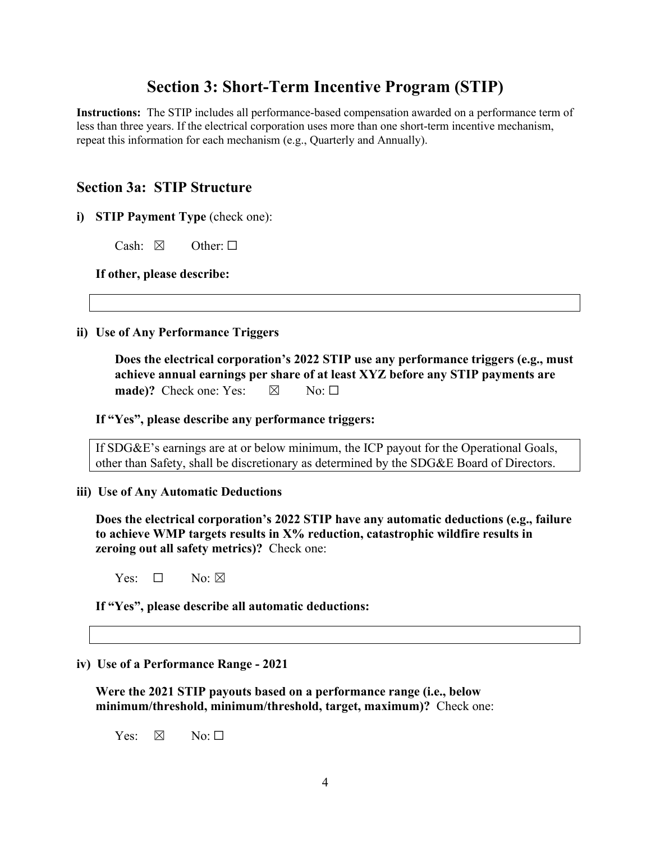## **Section 3: Short-Term Incentive Program (STIP)**

**Instructions:** The STIP includes all performance-based compensation awarded on a performance term of less than three years. If the electrical corporation uses more than one short-term incentive mechanism, repeat this information for each mechanism (e.g., Quarterly and Annually).

## **Section 3a: STIP Structure**

**i) STIP Payment Type** (check one):

Cash:  $\boxtimes$  Other:  $\square$ 

**If other, please describe:**

**ii) Use of Any Performance Triggers** 

**Does the electrical corporation's 2022 STIP use any performance triggers (e.g., must achieve annual earnings per share of at least XYZ before any STIP payments are made)?** Check one: Yes:  $\boxtimes$  No:  $\square$ 

**If "Yes", please describe any performance triggers:** 

If SDG&E's earnings are at or below minimum, the ICP payout for the Operational Goals, other than Safety, shall be discretionary as determined by the SDG&E Board of Directors.

**iii) Use of Any Automatic Deductions**

**Does the electrical corporation's 2022 STIP have any automatic deductions (e.g., failure to achieve WMP targets results in X% reduction, catastrophic wildfire results in zeroing out all safety metrics)?** Check one:

Yes:  $\Box$  No:  $\boxtimes$ 

**If "Yes", please describe all automatic deductions:** 

**iv) Use of a Performance Range - 2021**

**Were the 2021 STIP payouts based on a performance range (i.e., below minimum/threshold, minimum/threshold, target, maximum)?** Check one:

Yes:  $\boxtimes$  No:  $\Box$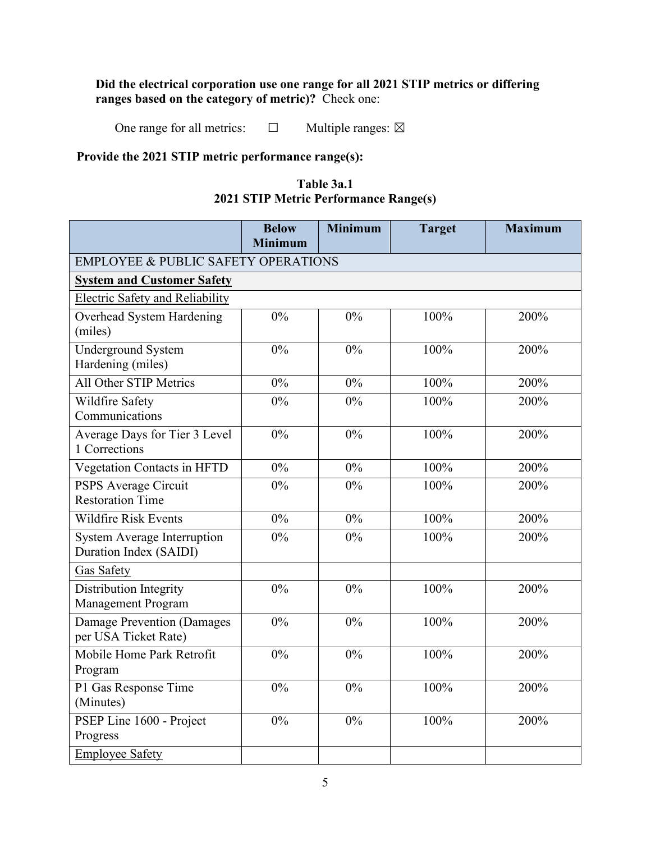## **Did the electrical corporation use one range for all 2021 STIP metrics or differing ranges based on the category of metric)?** Check one:

One range for all metrics:  $\Box$  Multiple ranges:  $\boxtimes$ 

## **Provide the 2021 STIP metric performance range(s):**

## **Table 3a.1 2021 STIP Metric Performance Range(s)**

|                                                              | <b>Below</b><br><b>Minimum</b> | <b>Minimum</b> | <b>Target</b> | <b>Maximum</b> |  |  |  |  |  |  |  |
|--------------------------------------------------------------|--------------------------------|----------------|---------------|----------------|--|--|--|--|--|--|--|
| <b>EMPLOYEE &amp; PUBLIC SAFETY OPERATIONS</b>               |                                |                |               |                |  |  |  |  |  |  |  |
| <b>System and Customer Safety</b>                            |                                |                |               |                |  |  |  |  |  |  |  |
| <b>Electric Safety and Reliability</b>                       |                                |                |               |                |  |  |  |  |  |  |  |
| Overhead System Hardening<br>(miles)                         | 0%                             | 0%             | 100%          | 200%           |  |  |  |  |  |  |  |
| <b>Underground System</b><br>Hardening (miles)               | $0\%$                          | 0%             | 100%          | 200%           |  |  |  |  |  |  |  |
| All Other STIP Metrics                                       | $0\%$                          | 0%             | 100%          | 200%           |  |  |  |  |  |  |  |
| Wildfire Safety<br>Communications                            | $0\%$                          | $0\%$          | 100%          | 200%           |  |  |  |  |  |  |  |
| Average Days for Tier 3 Level<br>1 Corrections               | 0%                             | 0%             | 100%          | 200%           |  |  |  |  |  |  |  |
| Vegetation Contacts in HFTD                                  | $0\%$                          | $0\%$          | 100%          | 200%           |  |  |  |  |  |  |  |
| <b>PSPS Average Circuit</b><br><b>Restoration Time</b>       | $0\%$                          | $0\%$          | 100%          | 200%           |  |  |  |  |  |  |  |
| <b>Wildfire Risk Events</b>                                  | $0\%$                          | $0\%$          | 100%          | 200%           |  |  |  |  |  |  |  |
| <b>System Average Interruption</b><br>Duration Index (SAIDI) | 0%                             | 0%             | 100%          | 200%           |  |  |  |  |  |  |  |
| <b>Gas Safety</b>                                            |                                |                |               |                |  |  |  |  |  |  |  |
| Distribution Integrity<br>Management Program                 | $0\%$                          | 0%             | 100%          | 200%           |  |  |  |  |  |  |  |
| Damage Prevention (Damages<br>per USA Ticket Rate)           | 0%                             | 0%             | 100%          | 200%           |  |  |  |  |  |  |  |
| Mobile Home Park Retrofit<br>Program                         | $0\%$                          | 0%             | 100%          | 200%           |  |  |  |  |  |  |  |
| P1 Gas Response Time<br>(Minutes)                            | $0\%$                          | 0%             | 100%          | 200%           |  |  |  |  |  |  |  |
| PSEP Line 1600 - Project<br>Progress                         | 0%                             | 0%             | 100%          | 200%           |  |  |  |  |  |  |  |
| <b>Employee Safety</b>                                       |                                |                |               |                |  |  |  |  |  |  |  |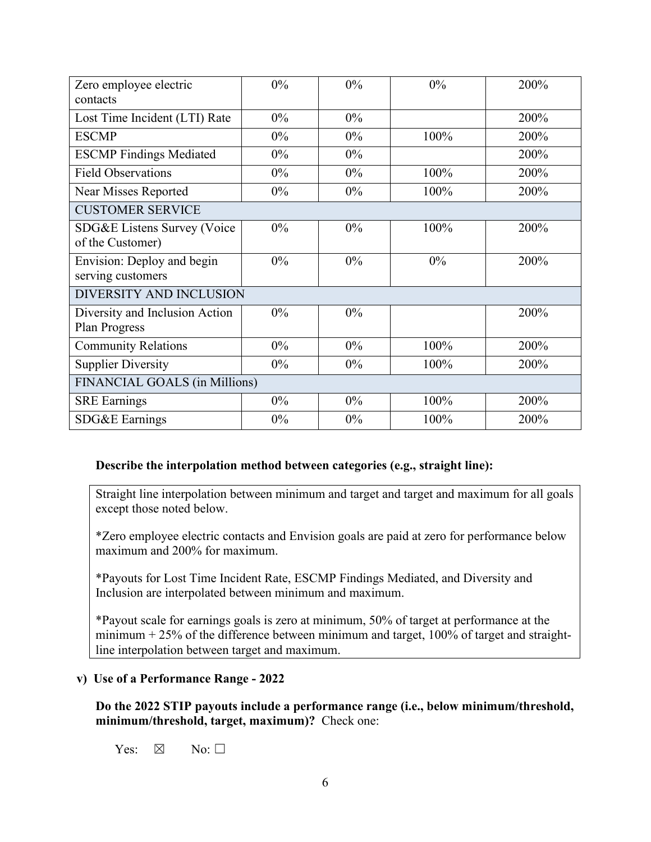| Zero employee electric                                 | $0\%$ | 0%    | 0%   | 200% |
|--------------------------------------------------------|-------|-------|------|------|
| contacts                                               |       |       |      |      |
| Lost Time Incident (LTI) Rate                          | $0\%$ | $0\%$ |      | 200% |
| <b>ESCMP</b>                                           | $0\%$ | 0%    | 100% | 200% |
| <b>ESCMP Findings Mediated</b>                         | $0\%$ | $0\%$ |      | 200% |
| <b>Field Observations</b>                              | $0\%$ | $0\%$ | 100% | 200% |
| <b>Near Misses Reported</b>                            | $0\%$ | $0\%$ | 100% | 200% |
| <b>CUSTOMER SERVICE</b>                                |       |       |      |      |
| SDG&E Listens Survey (Voice                            | $0\%$ | $0\%$ | 100% | 200% |
| of the Customer)                                       |       |       |      |      |
| Envision: Deploy and begin<br>serving customers        | $0\%$ | 0%    | 0%   | 200% |
| DIVERSITY AND INCLUSION                                |       |       |      |      |
| Diversity and Inclusion Action<br><b>Plan Progress</b> | $0\%$ | $0\%$ |      | 200% |
| <b>Community Relations</b>                             | $0\%$ | $0\%$ | 100% | 200% |
| <b>Supplier Diversity</b>                              | $0\%$ | $0\%$ | 100% | 200% |
| FINANCIAL GOALS (in Millions)                          |       |       |      |      |
| <b>SRE</b> Earnings                                    | $0\%$ | $0\%$ | 100% | 200% |
| SDG&E Earnings                                         | $0\%$ | $0\%$ | 100% | 200% |

### **Describe the interpolation method between categories (e.g., straight line):**

Straight line interpolation between minimum and target and target and maximum for all goals except those noted below.

\*Zero employee electric contacts and Envision goals are paid at zero for performance below maximum and 200% for maximum.

\*Payouts for Lost Time Incident Rate, ESCMP Findings Mediated, and Diversity and Inclusion are interpolated between minimum and maximum.

\*Payout scale for earnings goals is zero at minimum, 50% of target at performance at the minimum  $+25%$  of the difference between minimum and target, 100% of target and straightline interpolation between target and maximum.

### **v) Use of a Performance Range - 2022**

**Do the 2022 STIP payouts include a performance range (i.e., below minimum/threshold, minimum/threshold, target, maximum)?** Check one:

Yes:  $\boxtimes$  No:  $\square$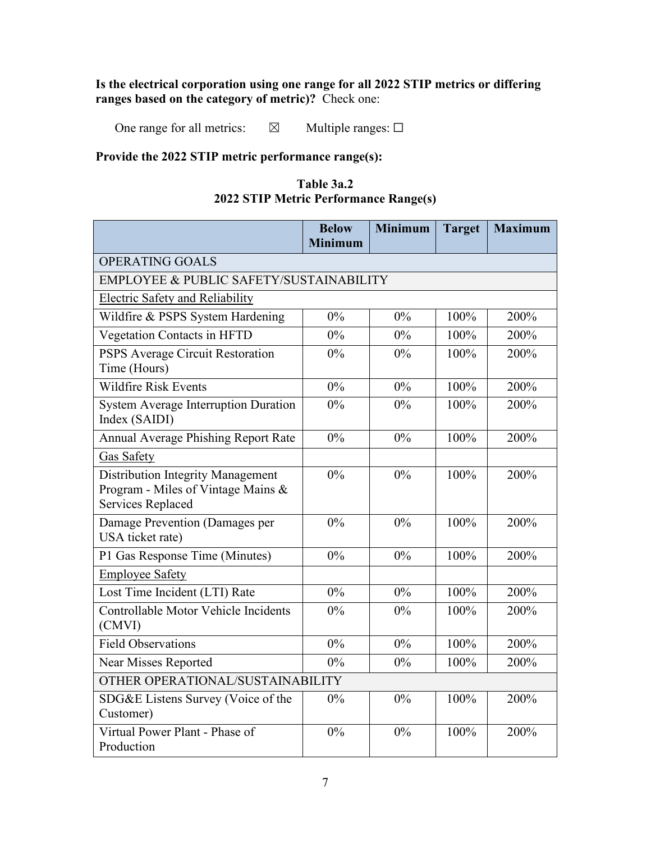## **Is the electrical corporation using one range for all 2022 STIP metrics or differing ranges based on the category of metric)?** Check one:

One range for all metrics:  $\boxtimes$  Multiple ranges:  $\Box$ 

## **Provide the 2022 STIP metric performance range(s):**

| Table 3a.2                            |  |  |  |  |  |  |  |  |
|---------------------------------------|--|--|--|--|--|--|--|--|
| 2022 STIP Metric Performance Range(s) |  |  |  |  |  |  |  |  |

|                                                                                                            | <b>Below</b><br><b>Minimum</b> | <b>Minimum</b> | <b>Target</b> | <b>Maximum</b> |  |  |  |  |  |  |
|------------------------------------------------------------------------------------------------------------|--------------------------------|----------------|---------------|----------------|--|--|--|--|--|--|
| OPERATING GOALS                                                                                            |                                |                |               |                |  |  |  |  |  |  |
| <b>EMPLOYEE &amp; PUBLIC SAFETY/SUSTAINABILITY</b>                                                         |                                |                |               |                |  |  |  |  |  |  |
| <b>Electric Safety and Reliability</b>                                                                     |                                |                |               |                |  |  |  |  |  |  |
| Wildfire & PSPS System Hardening                                                                           | $0\%$                          | $0\%$          | 100%          | 200%           |  |  |  |  |  |  |
| Vegetation Contacts in HFTD                                                                                | $0\%$                          | $0\%$          | 100%          | 200%           |  |  |  |  |  |  |
| PSPS Average Circuit Restoration<br>Time (Hours)                                                           | 0%                             | $0\%$          | 100%          | 200%           |  |  |  |  |  |  |
| <b>Wildfire Risk Events</b>                                                                                | $0\%$                          | $0\%$          | 100%          | 200%           |  |  |  |  |  |  |
| <b>System Average Interruption Duration</b><br>Index (SAIDI)                                               | 0%                             | $0\%$          | 100%          | 200%           |  |  |  |  |  |  |
| <b>Annual Average Phishing Report Rate</b>                                                                 | $0\%$                          | $0\%$          | 100%          | 200%           |  |  |  |  |  |  |
| <b>Gas Safety</b>                                                                                          |                                |                |               |                |  |  |  |  |  |  |
| <b>Distribution Integrity Management</b><br>Program - Miles of Vintage Mains &<br><b>Services Replaced</b> | $0\%$                          | $0\%$          | 100%          | 200%           |  |  |  |  |  |  |
| Damage Prevention (Damages per<br>USA ticket rate)                                                         | 0%                             | 0%             | 100%          | 200%           |  |  |  |  |  |  |
| P1 Gas Response Time (Minutes)                                                                             | 0%                             | $0\%$          | 100%          | 200%           |  |  |  |  |  |  |
| <b>Employee Safety</b>                                                                                     |                                |                |               |                |  |  |  |  |  |  |
| Lost Time Incident (LTI) Rate                                                                              | $0\%$                          | $0\%$          | 100%          | 200%           |  |  |  |  |  |  |
| Controllable Motor Vehicle Incidents<br>(CMVI)                                                             | 0%                             | $0\%$          | 100%          | 200%           |  |  |  |  |  |  |
| <b>Field Observations</b>                                                                                  | 0%                             | $0\%$          | 100%          | 200%           |  |  |  |  |  |  |
| Near Misses Reported                                                                                       | 0%                             | $0\%$          | 100%          | 200%           |  |  |  |  |  |  |
| OTHER OPERATIONAL/SUSTAINABILITY                                                                           |                                |                |               |                |  |  |  |  |  |  |
| SDG&E Listens Survey (Voice of the<br>Customer)                                                            | $0\%$                          | $0\%$          | 100%          | 200%           |  |  |  |  |  |  |
| Virtual Power Plant - Phase of<br>Production                                                               | 0%                             | 0%             | 100%          | 200%           |  |  |  |  |  |  |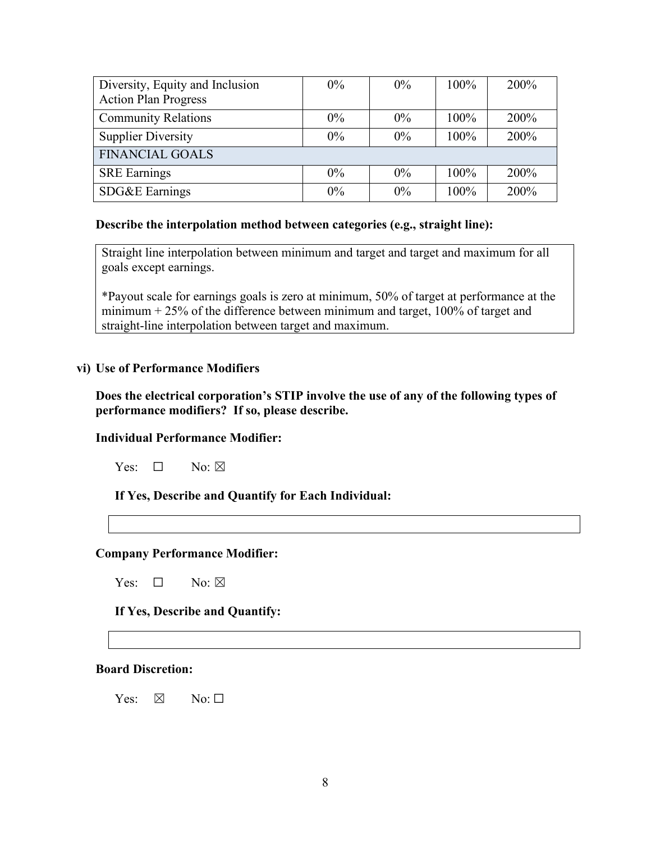| Diversity, Equity and Inclusion | $0\%$ | $0\%$ | 100% | 200% |
|---------------------------------|-------|-------|------|------|
| <b>Action Plan Progress</b>     |       |       |      |      |
| <b>Community Relations</b>      | $0\%$ | $0\%$ | 100% | 200% |
| <b>Supplier Diversity</b>       | $0\%$ | $0\%$ | 100% | 200% |
| <b>FINANCIAL GOALS</b>          |       |       |      |      |
| <b>SRE</b> Earnings             | $0\%$ | $0\%$ | 100% | 200% |
| SDG&E Earnings                  | $0\%$ | $0\%$ | 100% | 200% |

#### **Describe the interpolation method between categories (e.g., straight line):**

Straight line interpolation between minimum and target and target and maximum for all goals except earnings.

\*Payout scale for earnings goals is zero at minimum, 50% of target at performance at the minimum  $+ 25\%$  of the difference between minimum and target, 100% of target and straight-line interpolation between target and maximum.

### **vi) Use of Performance Modifiers**

**Does the electrical corporation's STIP involve the use of any of the following types of performance modifiers? If so, please describe.**

### **Individual Performance Modifier:**

Yes: □ No: ⊠

**If Yes, Describe and Quantify for Each Individual:** 

#### **Company Performance Modifier:**

Yes:  $\Box$  No:  $\boxtimes$ 

**If Yes, Describe and Quantify:** 

#### **Board Discretion:**

 $Yes: \ \boxtimes \ \ No: \Box$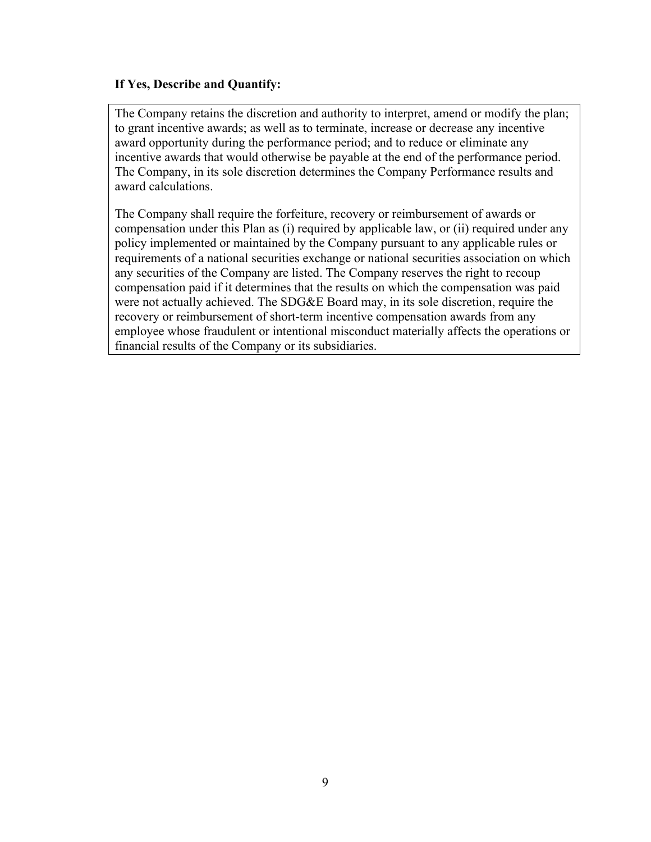## **If Yes, Describe and Quantify:**

The Company retains the discretion and authority to interpret, amend or modify the plan; to grant incentive awards; as well as to terminate, increase or decrease any incentive award opportunity during the performance period; and to reduce or eliminate any incentive awards that would otherwise be payable at the end of the performance period. The Company, in its sole discretion determines the Company Performance results and award calculations.

The Company shall require the forfeiture, recovery or reimbursement of awards or compensation under this Plan as (i) required by applicable law, or (ii) required under any policy implemented or maintained by the Company pursuant to any applicable rules or requirements of a national securities exchange or national securities association on which any securities of the Company are listed. The Company reserves the right to recoup compensation paid if it determines that the results on which the compensation was paid were not actually achieved. The SDG&E Board may, in its sole discretion, require the recovery or reimbursement of short-term incentive compensation awards from any employee whose fraudulent or intentional misconduct materially affects the operations or financial results of the Company or its subsidiaries.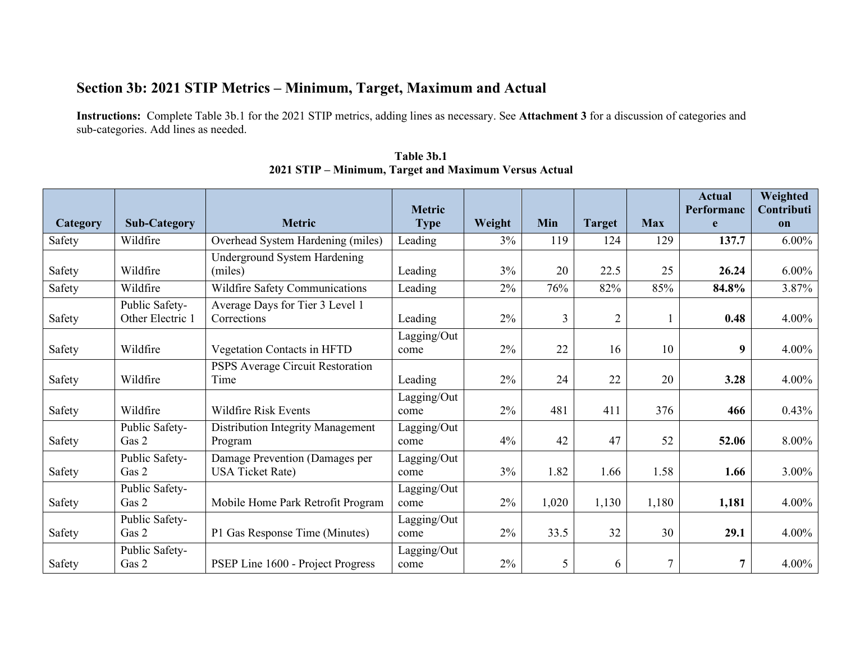# **Section 3b: 2021 STIP Metrics – Minimum, Target, Maximum and Actual**

**Instructions:** Complete Table 3b.1 for the 2021 STIP metrics, adding lines as necessary. See **Attachment 3** for a discussion of categories and sub-categories. Add lines as needed.

| Category | <b>Sub-Category</b>                | <b>Metric</b>                                             | <b>Metric</b>       | Weight | Min            |                      | <b>Max</b> | <b>Actual</b><br>Performanc | Weighted<br>Contributi |
|----------|------------------------------------|-----------------------------------------------------------|---------------------|--------|----------------|----------------------|------------|-----------------------------|------------------------|
|          | Wildfire                           |                                                           | <b>Type</b>         | 3%     | 119            | <b>Target</b><br>124 |            | e<br>137.7                  | on<br>$6.00\%$         |
| Safety   |                                    | Overhead System Hardening (miles)                         | Leading             |        |                |                      | 129        |                             |                        |
| Safety   | Wildfire                           | Underground System Hardening<br>(miles)                   | Leading             | 3%     | 20             | 22.5                 | 25         | 26.24                       | $6.00\%$               |
| Safety   | Wildfire                           | Wildfire Safety Communications                            | Leading             | 2%     | 76%            | 82%                  | 85%        | 84.8%                       | 3.87%                  |
| Safety   | Public Safety-<br>Other Electric 1 | Average Days for Tier 3 Level 1<br>Corrections            | Leading             | $2\%$  | $\overline{3}$ | $\overline{2}$       |            | 0.48                        | 4.00%                  |
| Safety   | Wildfire                           | Vegetation Contacts in HFTD                               | Lagging/Out<br>come | 2%     | 22             | 16                   | 10         | 9                           | 4.00%                  |
| Safety   | Wildfire                           | PSPS Average Circuit Restoration<br>Time                  | Leading             | $2\%$  | 24             | 22                   | 20         | 3.28                        | 4.00%                  |
| Safety   | Wildfire                           | <b>Wildfire Risk Events</b>                               | Lagging/Out<br>come | 2%     | 481            | 411                  | 376        | 466                         | 0.43%                  |
| Safety   | Public Safety-<br>Gas 2            | <b>Distribution Integrity Management</b><br>Program       | Lagging/Out<br>come | 4%     | 42             | 47                   | 52         | 52.06                       | 8.00%                  |
| Safety   | Public Safety-<br>Gas 2            | Damage Prevention (Damages per<br><b>USA Ticket Rate)</b> | Lagging/Out<br>come | 3%     | 1.82           | 1.66                 | 1.58       | 1.66                        | 3.00%                  |
| Safety   | Public Safety-<br>Gas 2            | Mobile Home Park Retrofit Program                         | Lagging/Out<br>come | 2%     | 1,020          | 1,130                | 1,180      | 1,181                       | 4.00%                  |
| Safety   | Public Safety-<br>Gas 2            | P1 Gas Response Time (Minutes)                            | Lagging/Out<br>come | 2%     | 33.5           | 32                   | 30         | 29.1                        | 4.00%                  |
| Safety   | Public Safety-<br>Gas 2            | PSEP Line 1600 - Project Progress                         | Lagging/Out<br>come | 2%     | 5              | 6                    | 7          | 7                           | 4.00%                  |

**Table 3b.1 2021 STIP – Minimum, Target and Maximum Versus Actual**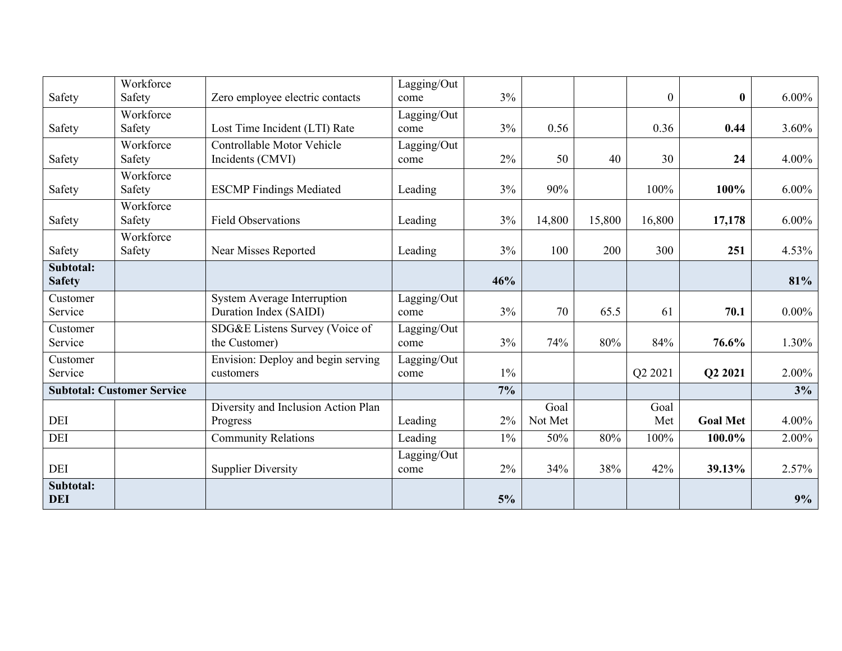|               | Workforce                         |                                     | Lagging/Out |       |         |        |                  |                 |          |
|---------------|-----------------------------------|-------------------------------------|-------------|-------|---------|--------|------------------|-----------------|----------|
| Safety        | Safety                            | Zero employee electric contacts     | come        | 3%    |         |        | $\boldsymbol{0}$ | $\bf{0}$        | $6.00\%$ |
|               | Workforce                         |                                     | Lagging/Out |       |         |        |                  |                 |          |
| Safety        | Safety                            | Lost Time Incident (LTI) Rate       | come        | 3%    | 0.56    |        | 0.36             | 0.44            | 3.60%    |
|               | Workforce                         | Controllable Motor Vehicle          | Lagging/Out |       |         |        |                  |                 |          |
| Safety        | Safety                            | Incidents (CMVI)                    | come        | 2%    | 50      | 40     | 30               | 24              | 4.00%    |
|               | Workforce                         |                                     |             |       |         |        |                  |                 |          |
| Safety        | Safety                            | <b>ESCMP Findings Mediated</b>      | Leading     | 3%    | 90%     |        | 100%             | 100%            | $6.00\%$ |
|               | Workforce                         |                                     |             |       |         |        |                  |                 |          |
| Safety        | Safety                            | <b>Field Observations</b>           | Leading     | 3%    | 14,800  | 15,800 | 16,800           | 17,178          | $6.00\%$ |
|               | Workforce                         |                                     |             |       |         |        |                  |                 |          |
| Safety        | Safety                            | Near Misses Reported                | Leading     | 3%    | 100     | 200    | 300              | 251             | 4.53%    |
| Subtotal:     |                                   |                                     |             |       |         |        |                  |                 |          |
| <b>Safety</b> |                                   |                                     |             | 46%   |         |        |                  |                 | 81%      |
| Customer      |                                   | <b>System Average Interruption</b>  | Lagging/Out |       |         |        |                  |                 |          |
| Service       |                                   | Duration Index (SAIDI)              | come        | 3%    | 70      | 65.5   | 61               | 70.1            | $0.00\%$ |
| Customer      |                                   | SDG&E Listens Survey (Voice of      | Lagging/Out |       |         |        |                  |                 |          |
| Service       |                                   | the Customer)                       | come        | 3%    | 74%     | 80%    | 84%              | 76.6%           | 1.30%    |
| Customer      |                                   | Envision: Deploy and begin serving  | Lagging/Out |       |         |        |                  |                 |          |
| Service       |                                   | customers                           | come        | $1\%$ |         |        | Q2 2021          | Q2 2021         | 2.00%    |
|               | <b>Subtotal: Customer Service</b> |                                     |             | $7\%$ |         |        |                  |                 | 3%       |
|               |                                   | Diversity and Inclusion Action Plan |             |       | Goal    |        | Goal             |                 |          |
| DEI           |                                   | Progress                            | Leading     | 2%    | Not Met |        | Met              | <b>Goal Met</b> | 4.00%    |
| <b>DEI</b>    |                                   | <b>Community Relations</b>          | Leading     | $1\%$ | 50%     | 80%    | 100%             | 100.0%          | 2.00%    |
|               |                                   |                                     | Lagging/Out |       |         |        |                  |                 |          |
| DEI           |                                   | <b>Supplier Diversity</b>           | come        | 2%    | 34%     | 38%    | 42%              | 39.13%          | 2.57%    |
| Subtotal:     |                                   |                                     |             |       |         |        |                  |                 |          |
| <b>DEI</b>    |                                   |                                     |             | 5%    |         |        |                  |                 | 9%       |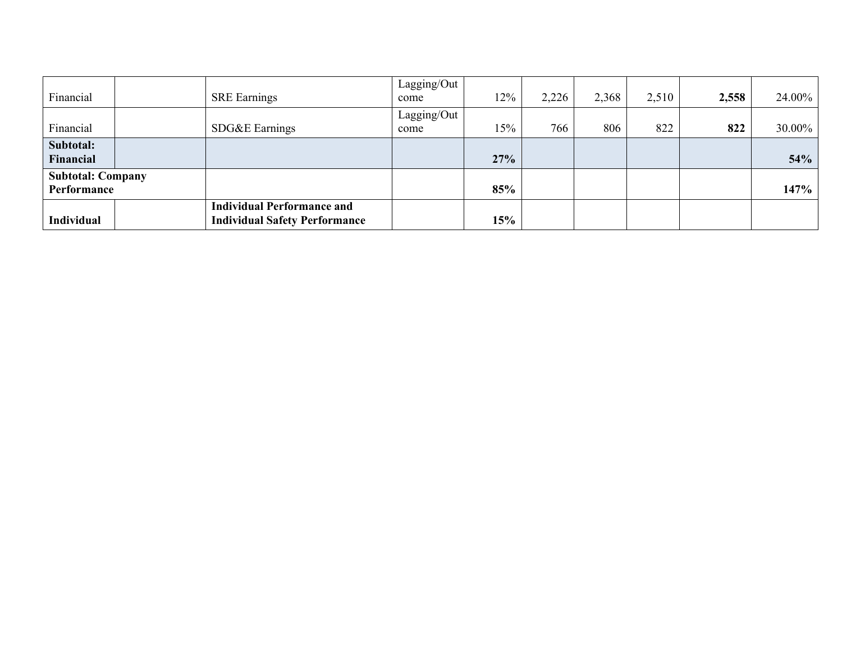| Financial                               | <b>SRE</b> Earnings                                                       | Lagging/Out<br>come | 12% | 2,226 | 2,368 | 2,510 | 2,558 | 24.00% |
|-----------------------------------------|---------------------------------------------------------------------------|---------------------|-----|-------|-------|-------|-------|--------|
| Financial                               | SDG&E Earnings                                                            | Lagging/Out<br>come | 15% | 766   | 806   | 822   | 822   | 30.00% |
| Subtotal:<br>Financial                  |                                                                           |                     | 27% |       |       |       |       | 54%    |
| <b>Subtotal: Company</b><br>Performance |                                                                           |                     | 85% |       |       |       |       | 147%   |
| <b>Individual</b>                       | <b>Individual Performance and</b><br><b>Individual Safety Performance</b> |                     | 15% |       |       |       |       |        |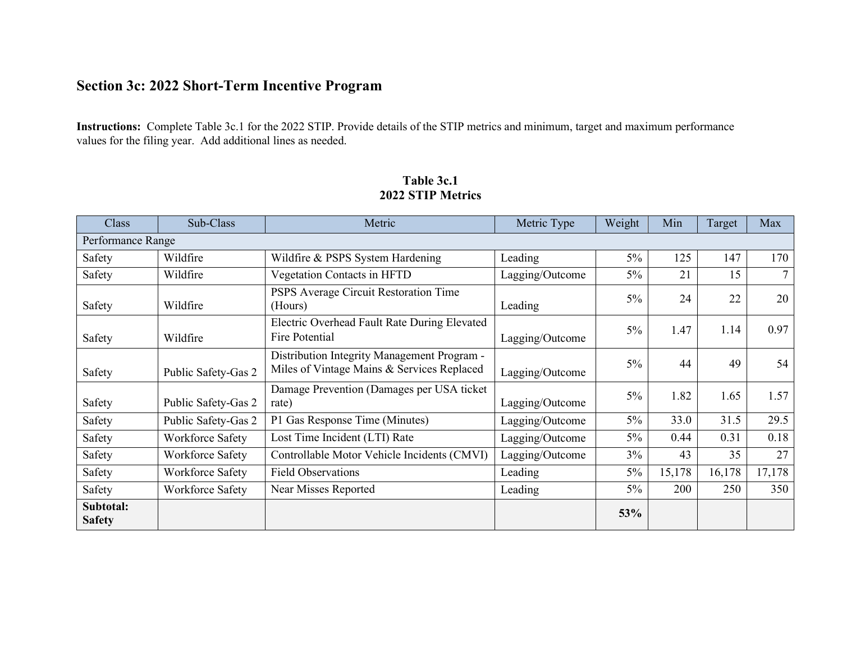# **Section 3c: 2022 Short-Term Incentive Program**

**Instructions:** Complete Table 3c.1 for the 2022 STIP. Provide details of the STIP metrics and minimum, target and maximum performance values for the filing year. Add additional lines as needed.

| Class                      | Sub-Class           | Metric                                                                                    | Metric Type     | Weight | Min    | Target | Max    |
|----------------------------|---------------------|-------------------------------------------------------------------------------------------|-----------------|--------|--------|--------|--------|
| Performance Range          |                     |                                                                                           |                 |        |        |        |        |
| Safety                     | Wildfire            | Wildfire & PSPS System Hardening                                                          | Leading         | $5\%$  | 125    | 147    | 170    |
| Safety                     | Wildfire            | Vegetation Contacts in HFTD                                                               | Lagging/Outcome | $5\%$  | 21     | 15     | $\tau$ |
| Safety                     | Wildfire            | PSPS Average Circuit Restoration Time<br>(Hours)                                          | Leading         | $5\%$  | 24     | 22     | 20     |
| Safety                     | Wildfire            | Electric Overhead Fault Rate During Elevated<br>Fire Potential                            | Lagging/Outcome | $5\%$  | 1.47   | 1.14   | 0.97   |
| Safety                     | Public Safety-Gas 2 | Distribution Integrity Management Program -<br>Miles of Vintage Mains & Services Replaced | Lagging/Outcome | $5\%$  | 44     | 49     | 54     |
| Safety                     | Public Safety-Gas 2 | Damage Prevention (Damages per USA ticket<br>rate)                                        | Lagging/Outcome | $5\%$  | 1.82   | 1.65   | 1.57   |
| Safety                     | Public Safety-Gas 2 | P1 Gas Response Time (Minutes)                                                            | Lagging/Outcome | $5\%$  | 33.0   | 31.5   | 29.5   |
| Safety                     | Workforce Safety    | Lost Time Incident (LTI) Rate                                                             | Lagging/Outcome | $5\%$  | 0.44   | 0.31   | 0.18   |
| Safety                     | Workforce Safety    | Controllable Motor Vehicle Incidents (CMVI)                                               | Lagging/Outcome | $3\%$  | 43     | 35     | 27     |
| Safety                     | Workforce Safety    | <b>Field Observations</b>                                                                 | Leading         | $5\%$  | 15,178 | 16,178 | 17,178 |
| Safety                     | Workforce Safety    | Near Misses Reported                                                                      | Leading         | $5\%$  | 200    | 250    | 350    |
| Subtotal:<br><b>Safety</b> |                     |                                                                                           |                 | 53%    |        |        |        |

## **Table 3c.1 2022 STIP Metrics**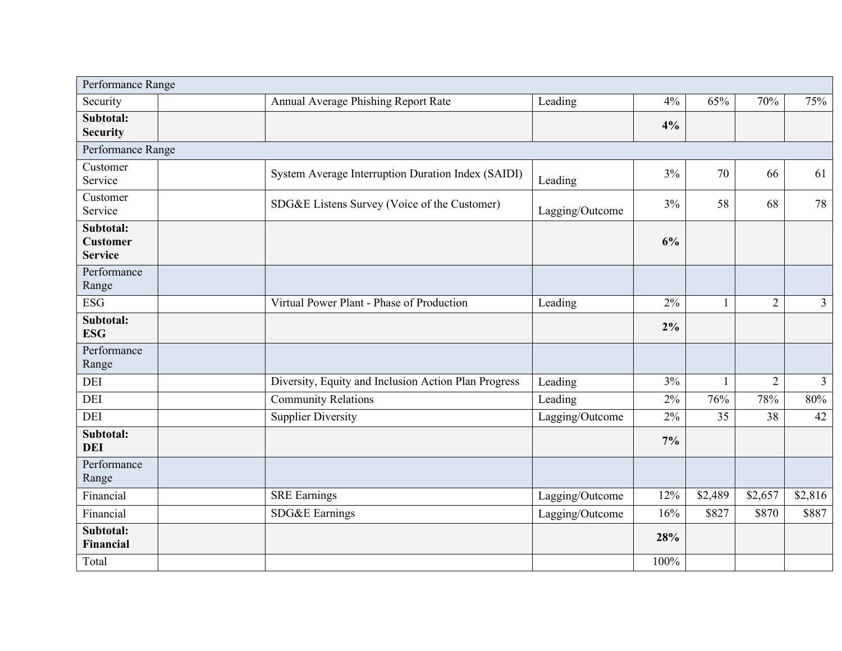| Performance Range                              |                                                                 |      |              |                |                |
|------------------------------------------------|-----------------------------------------------------------------|------|--------------|----------------|----------------|
| Security                                       | Annual Average Phishing Report Rate<br>Leading                  | 4%   | 65%          | 70%            | 75%            |
| Subtotal:<br><b>Security</b>                   |                                                                 | 4%   |              |                |                |
| Performance Range                              |                                                                 |      |              |                |                |
| Customer<br>Service                            | System Average Interruption Duration Index (SAIDI)<br>Leading   | 3%   | 70           | 66             | 61             |
| Customer<br>Service                            | SDG&E Listens Survey (Voice of the Customer)<br>Lagging/Outcome | 3%   | 58           | 68             | 78             |
| Subtotal:<br><b>Customer</b><br><b>Service</b> |                                                                 | 6%   |              |                |                |
| Performance<br>Range                           |                                                                 |      |              |                |                |
| <b>ESG</b>                                     | Virtual Power Plant - Phase of Production<br>Leading            | 2%   | $\mathbf{1}$ | $\overline{2}$ | $\mathfrak{Z}$ |
| Subtotal:<br><b>ESG</b>                        |                                                                 | 2%   |              |                |                |
| Performance<br>Range                           |                                                                 |      |              |                |                |
| DEI                                            | Diversity, Equity and Inclusion Action Plan Progress<br>Leading | 3%   | $\mathbf{1}$ | $\overline{2}$ | $\mathfrak{Z}$ |
| DEI                                            | <b>Community Relations</b><br>Leading                           | 2%   | 76%          | 78%            | 80%            |
| <b>DEI</b>                                     | <b>Supplier Diversity</b><br>Lagging/Outcome                    | 2%   | 35           | 38             | 42             |
| Subtotal:<br><b>DEI</b>                        |                                                                 | 7%   |              |                |                |
| Performance<br>Range                           |                                                                 |      |              |                |                |
| Financial                                      | <b>SRE Earnings</b><br>Lagging/Outcome                          | 12%  | \$2,489      | \$2,657        | \$2,816        |
| Financial                                      | SDG&E Earnings<br>Lagging/Outcome                               | 16%  | \$827        | \$870          | \$887          |
| Subtotal:<br>Financial                         |                                                                 | 28%  |              |                |                |
| Total                                          |                                                                 | 100% |              |                |                |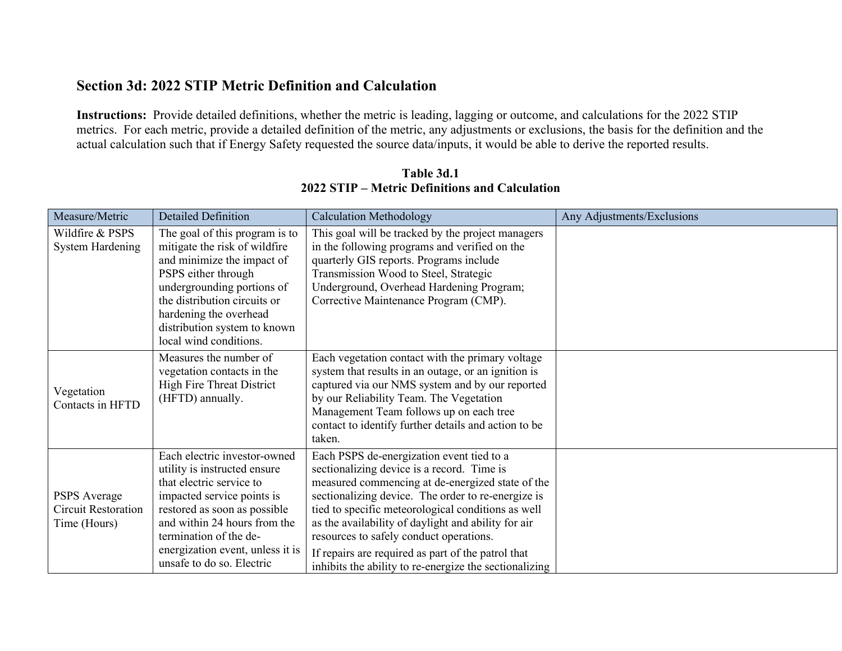## **Section 3d: 2022 STIP Metric Definition and Calculation**

**Instructions:** Provide detailed definitions, whether the metric is leading, lagging or outcome, and calculations for the 2022 STIP metrics. For each metric, provide a detailed definition of the metric, any adjustments or exclusions, the basis for the definition and the actual calculation such that if Energy Safety requested the source data/inputs, it would be able to derive the reported results.

| Measure/Metric                                                    | <b>Detailed Definition</b>                                                                                                                                                                                                                                                        | <b>Calculation Methodology</b>                                                                                                                                                                                                                                                                                                                                                                                                                                            | Any Adjustments/Exclusions |
|-------------------------------------------------------------------|-----------------------------------------------------------------------------------------------------------------------------------------------------------------------------------------------------------------------------------------------------------------------------------|---------------------------------------------------------------------------------------------------------------------------------------------------------------------------------------------------------------------------------------------------------------------------------------------------------------------------------------------------------------------------------------------------------------------------------------------------------------------------|----------------------------|
| Wildfire & PSPS<br><b>System Hardening</b>                        | The goal of this program is to<br>mitigate the risk of wildfire<br>and minimize the impact of<br>PSPS either through<br>undergrounding portions of<br>the distribution circuits or<br>hardening the overhead<br>distribution system to known<br>local wind conditions.            | This goal will be tracked by the project managers<br>in the following programs and verified on the<br>quarterly GIS reports. Programs include<br>Transmission Wood to Steel, Strategic<br>Underground, Overhead Hardening Program;<br>Corrective Maintenance Program (CMP).                                                                                                                                                                                               |                            |
| Vegetation<br>Contacts in HFTD                                    | Measures the number of<br>vegetation contacts in the<br><b>High Fire Threat District</b><br>(HFTD) annually.                                                                                                                                                                      | Each vegetation contact with the primary voltage<br>system that results in an outage, or an ignition is<br>captured via our NMS system and by our reported<br>by our Reliability Team. The Vegetation<br>Management Team follows up on each tree<br>contact to identify further details and action to be<br>taken.                                                                                                                                                        |                            |
| <b>PSPS</b> Average<br><b>Circuit Restoration</b><br>Time (Hours) | Each electric investor-owned<br>utility is instructed ensure<br>that electric service to<br>impacted service points is<br>restored as soon as possible<br>and within 24 hours from the<br>termination of the de-<br>energization event, unless it is<br>unsafe to do so. Electric | Each PSPS de-energization event tied to a<br>sectionalizing device is a record. Time is<br>measured commencing at de-energized state of the<br>sectionalizing device. The order to re-energize is<br>tied to specific meteorological conditions as well<br>as the availability of daylight and ability for air<br>resources to safely conduct operations.<br>If repairs are required as part of the patrol that<br>inhibits the ability to re-energize the sectionalizing |                            |

**Table 3d.1 2022 STIP – Metric Definitions and Calculation**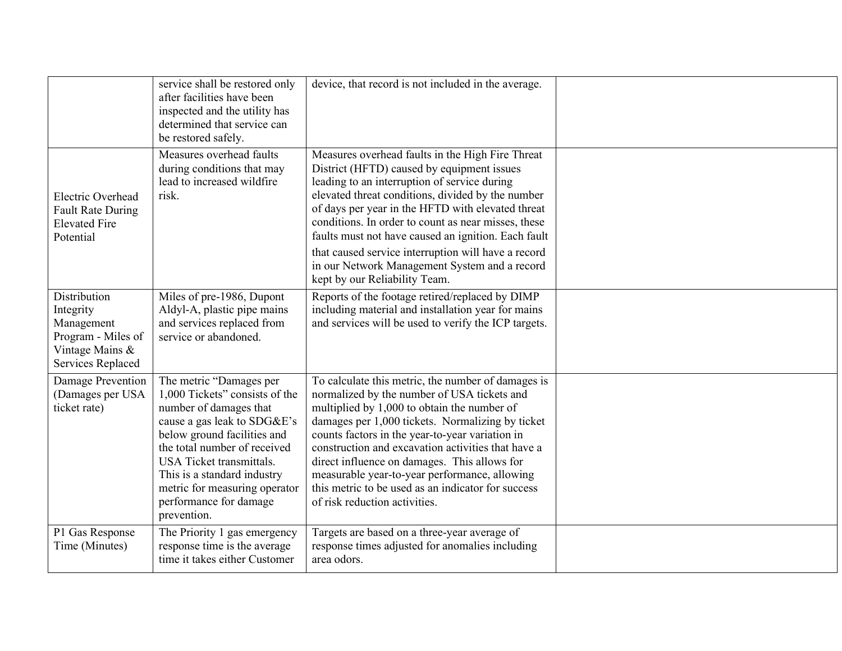|                                                                                                       | service shall be restored only<br>after facilities have been<br>inspected and the utility has<br>determined that service can<br>be restored safely.                                                                                                                                                                    | device, that record is not included in the average.                                                                                                                                                                                                                                                                                                                                                                                                                                                             |  |
|-------------------------------------------------------------------------------------------------------|------------------------------------------------------------------------------------------------------------------------------------------------------------------------------------------------------------------------------------------------------------------------------------------------------------------------|-----------------------------------------------------------------------------------------------------------------------------------------------------------------------------------------------------------------------------------------------------------------------------------------------------------------------------------------------------------------------------------------------------------------------------------------------------------------------------------------------------------------|--|
| Electric Overhead<br><b>Fault Rate During</b><br><b>Elevated Fire</b><br>Potential                    | Measures overhead faults<br>during conditions that may<br>lead to increased wildfire<br>risk.                                                                                                                                                                                                                          | Measures overhead faults in the High Fire Threat<br>District (HFTD) caused by equipment issues<br>leading to an interruption of service during<br>elevated threat conditions, divided by the number<br>of days per year in the HFTD with elevated threat<br>conditions. In order to count as near misses, these<br>faults must not have caused an ignition. Each fault<br>that caused service interruption will have a record<br>in our Network Management System and a record<br>kept by our Reliability Team. |  |
| Distribution<br>Integrity<br>Management<br>Program - Miles of<br>Vintage Mains &<br>Services Replaced | Miles of pre-1986, Dupont<br>Aldyl-A, plastic pipe mains<br>and services replaced from<br>service or abandoned.                                                                                                                                                                                                        | Reports of the footage retired/replaced by DIMP<br>including material and installation year for mains<br>and services will be used to verify the ICP targets.                                                                                                                                                                                                                                                                                                                                                   |  |
| Damage Prevention<br>(Damages per USA<br>ticket rate)                                                 | The metric "Damages per<br>1,000 Tickets" consists of the<br>number of damages that<br>cause a gas leak to SDG&E's<br>below ground facilities and<br>the total number of received<br>USA Ticket transmittals.<br>This is a standard industry<br>metric for measuring operator<br>performance for damage<br>prevention. | To calculate this metric, the number of damages is<br>normalized by the number of USA tickets and<br>multiplied by 1,000 to obtain the number of<br>damages per 1,000 tickets. Normalizing by ticket<br>counts factors in the year-to-year variation in<br>construction and excavation activities that have a<br>direct influence on damages. This allows for<br>measurable year-to-year performance, allowing<br>this metric to be used as an indicator for success<br>of risk reduction activities.           |  |
| P1 Gas Response<br>Time (Minutes)                                                                     | The Priority 1 gas emergency<br>response time is the average<br>time it takes either Customer                                                                                                                                                                                                                          | Targets are based on a three-year average of<br>response times adjusted for anomalies including<br>area odors.                                                                                                                                                                                                                                                                                                                                                                                                  |  |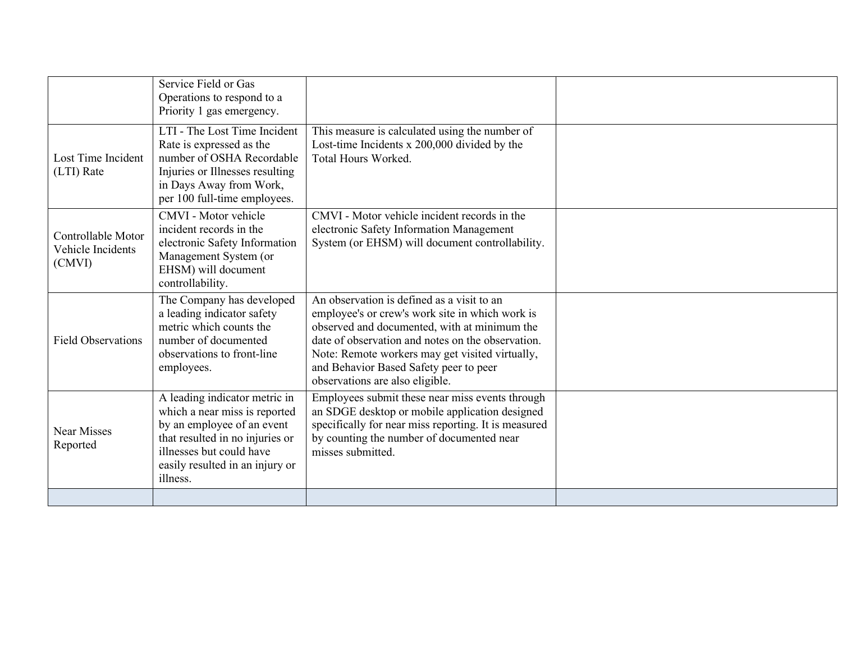|                                                   | Service Field or Gas<br>Operations to respond to a<br>Priority 1 gas emergency.                                                                                                                            |                                                                                                                                                                                                                                                                                                                                    |  |
|---------------------------------------------------|------------------------------------------------------------------------------------------------------------------------------------------------------------------------------------------------------------|------------------------------------------------------------------------------------------------------------------------------------------------------------------------------------------------------------------------------------------------------------------------------------------------------------------------------------|--|
| Lost Time Incident<br>(LTI) Rate                  | LTI - The Lost Time Incident<br>Rate is expressed as the<br>number of OSHA Recordable<br>Injuries or Illnesses resulting<br>in Days Away from Work,<br>per 100 full-time employees.                        | This measure is calculated using the number of<br>Lost-time Incidents x 200,000 divided by the<br>Total Hours Worked.                                                                                                                                                                                                              |  |
| Controllable Motor<br>Vehicle Incidents<br>(CMVI) | CMVI - Motor vehicle<br>incident records in the<br>electronic Safety Information<br>Management System (or<br>EHSM) will document<br>controllability.                                                       | CMVI - Motor vehicle incident records in the<br>electronic Safety Information Management<br>System (or EHSM) will document controllability.                                                                                                                                                                                        |  |
| <b>Field Observations</b>                         | The Company has developed<br>a leading indicator safety<br>metric which counts the<br>number of documented<br>observations to front-line<br>employees.                                                     | An observation is defined as a visit to an<br>employee's or crew's work site in which work is<br>observed and documented, with at minimum the<br>date of observation and notes on the observation.<br>Note: Remote workers may get visited virtually,<br>and Behavior Based Safety peer to peer<br>observations are also eligible. |  |
| Near Misses<br>Reported                           | A leading indicator metric in<br>which a near miss is reported<br>by an employee of an event<br>that resulted in no injuries or<br>illnesses but could have<br>easily resulted in an injury or<br>illness. | Employees submit these near miss events through<br>an SDGE desktop or mobile application designed<br>specifically for near miss reporting. It is measured<br>by counting the number of documented near<br>misses submitted.                                                                                                        |  |
|                                                   |                                                                                                                                                                                                            |                                                                                                                                                                                                                                                                                                                                    |  |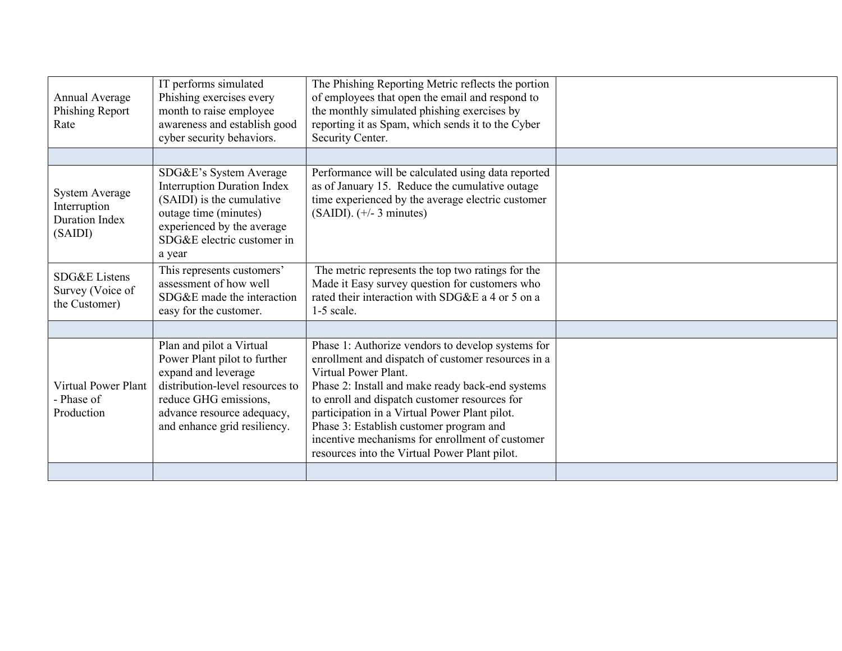| IT performs simulated<br>The Phishing Reporting Metric reflects the portion<br>Phishing exercises every<br>of employees that open the email and respond to<br>Annual Average<br>month to raise employee<br>the monthly simulated phishing exercises by<br>Phishing Report<br>reporting it as Spam, which sends it to the Cyber<br>awareness and establish good<br>Rate<br>cyber security behaviors.<br>Security Center. |                                                                    |                                                                                                                                                                                                           |                                                                                                                                                                                                                                                                                                                                                                                                                                      |  |
|-------------------------------------------------------------------------------------------------------------------------------------------------------------------------------------------------------------------------------------------------------------------------------------------------------------------------------------------------------------------------------------------------------------------------|--------------------------------------------------------------------|-----------------------------------------------------------------------------------------------------------------------------------------------------------------------------------------------------------|--------------------------------------------------------------------------------------------------------------------------------------------------------------------------------------------------------------------------------------------------------------------------------------------------------------------------------------------------------------------------------------------------------------------------------------|--|
|                                                                                                                                                                                                                                                                                                                                                                                                                         |                                                                    |                                                                                                                                                                                                           |                                                                                                                                                                                                                                                                                                                                                                                                                                      |  |
|                                                                                                                                                                                                                                                                                                                                                                                                                         | System Average<br>Interruption<br><b>Duration Index</b><br>(SAIDI) | SDG&E's System Average<br><b>Interruption Duration Index</b><br>(SAIDI) is the cumulative<br>outage time (minutes)<br>experienced by the average<br>SDG&E electric customer in<br>a year                  | Performance will be calculated using data reported<br>as of January 15. Reduce the cumulative outage<br>time experienced by the average electric customer<br>$(SAIDI)$ . $(+/- 3$ minutes)                                                                                                                                                                                                                                           |  |
|                                                                                                                                                                                                                                                                                                                                                                                                                         | SDG&E Listens<br>Survey (Voice of<br>the Customer)                 | This represents customers'<br>assessment of how well<br>SDG&E made the interaction<br>easy for the customer.                                                                                              | The metric represents the top two ratings for the<br>Made it Easy survey question for customers who<br>rated their interaction with SDG&E a 4 or 5 on a<br>$1-5$ scale.                                                                                                                                                                                                                                                              |  |
|                                                                                                                                                                                                                                                                                                                                                                                                                         |                                                                    |                                                                                                                                                                                                           |                                                                                                                                                                                                                                                                                                                                                                                                                                      |  |
|                                                                                                                                                                                                                                                                                                                                                                                                                         | <b>Virtual Power Plant</b><br>- Phase of<br>Production             | Plan and pilot a Virtual<br>Power Plant pilot to further<br>expand and leverage<br>distribution-level resources to<br>reduce GHG emissions,<br>advance resource adequacy,<br>and enhance grid resiliency. | Phase 1: Authorize vendors to develop systems for<br>enrollment and dispatch of customer resources in a<br>Virtual Power Plant.<br>Phase 2: Install and make ready back-end systems<br>to enroll and dispatch customer resources for<br>participation in a Virtual Power Plant pilot.<br>Phase 3: Establish customer program and<br>incentive mechanisms for enrollment of customer<br>resources into the Virtual Power Plant pilot. |  |
|                                                                                                                                                                                                                                                                                                                                                                                                                         |                                                                    |                                                                                                                                                                                                           |                                                                                                                                                                                                                                                                                                                                                                                                                                      |  |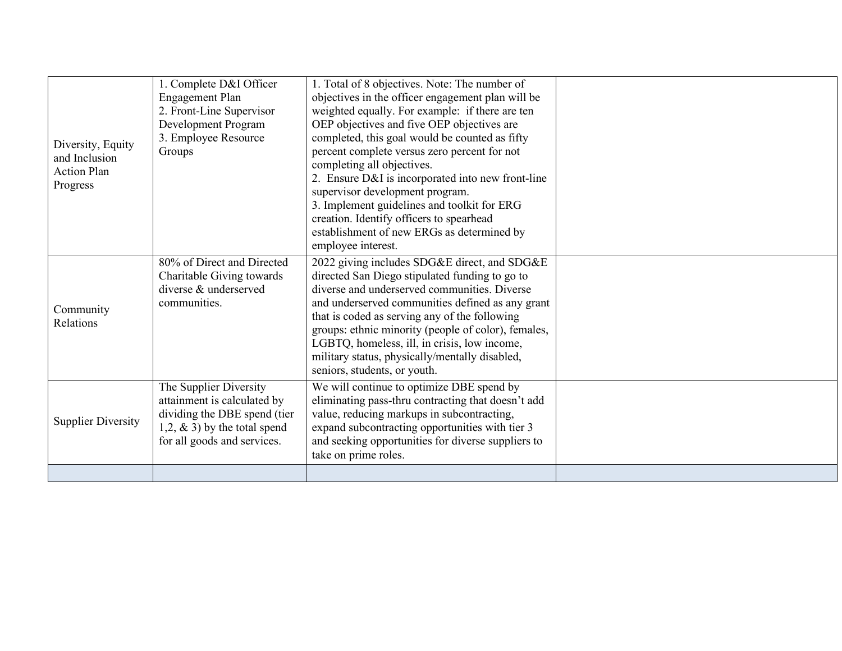| Diversity, Equity<br>and Inclusion<br><b>Action Plan</b><br>Progress | 1. Complete D&I Officer<br><b>Engagement Plan</b><br>2. Front-Line Supervisor<br>Development Program<br>3. Employee Resource<br>Groups                  | 1. Total of 8 objectives. Note: The number of<br>objectives in the officer engagement plan will be<br>weighted equally. For example: if there are ten<br>OEP objectives and five OEP objectives are<br>completed, this goal would be counted as fifty<br>percent complete versus zero percent for not<br>completing all objectives.<br>2. Ensure D&I is incorporated into new front-line<br>supervisor development program.<br>3. Implement guidelines and toolkit for ERG<br>creation. Identify officers to spearhead<br>establishment of new ERGs as determined by<br>employee interest. |  |
|----------------------------------------------------------------------|---------------------------------------------------------------------------------------------------------------------------------------------------------|--------------------------------------------------------------------------------------------------------------------------------------------------------------------------------------------------------------------------------------------------------------------------------------------------------------------------------------------------------------------------------------------------------------------------------------------------------------------------------------------------------------------------------------------------------------------------------------------|--|
| Community<br>Relations                                               | 80% of Direct and Directed<br>Charitable Giving towards<br>diverse & underserved<br>communities.                                                        | 2022 giving includes SDG&E direct, and SDG&E<br>directed San Diego stipulated funding to go to<br>diverse and underserved communities. Diverse<br>and underserved communities defined as any grant<br>that is coded as serving any of the following<br>groups: ethnic minority (people of color), females,<br>LGBTQ, homeless, ill, in crisis, low income,<br>military status, physically/mentally disabled,<br>seniors, students, or youth.                                                                                                                                               |  |
| <b>Supplier Diversity</b>                                            | The Supplier Diversity<br>attainment is calculated by<br>dividing the DBE spend (tier<br>1,2, $\&$ 3) by the total spend<br>for all goods and services. | We will continue to optimize DBE spend by<br>eliminating pass-thru contracting that doesn't add<br>value, reducing markups in subcontracting,<br>expand subcontracting opportunities with tier 3<br>and seeking opportunities for diverse suppliers to<br>take on prime roles.                                                                                                                                                                                                                                                                                                             |  |
|                                                                      |                                                                                                                                                         |                                                                                                                                                                                                                                                                                                                                                                                                                                                                                                                                                                                            |  |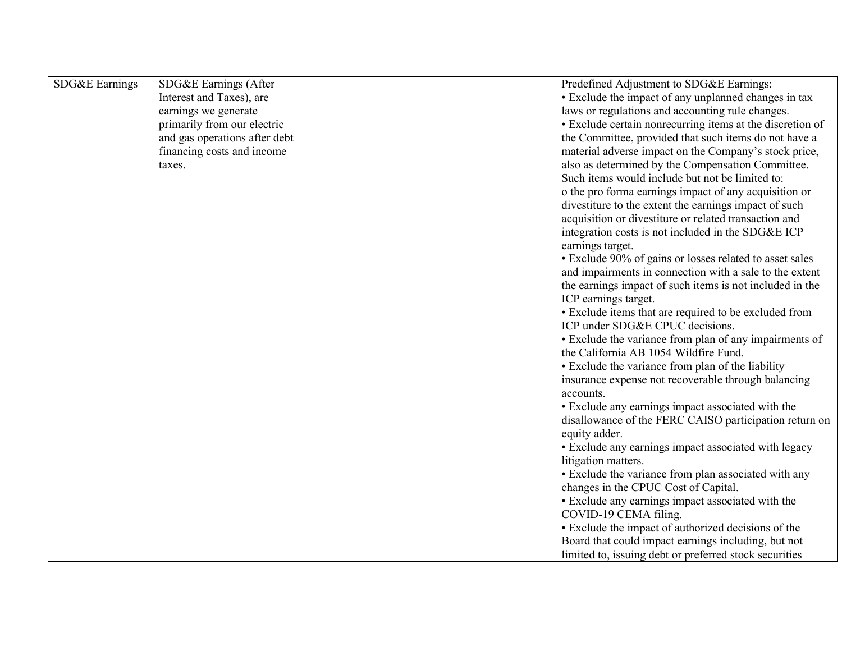| SDG&E Earnings | SDG&E Earnings (After         | Predefined Adjustment to SDG&E Earnings:                  |
|----------------|-------------------------------|-----------------------------------------------------------|
|                | Interest and Taxes), are      | • Exclude the impact of any unplanned changes in tax      |
|                | earnings we generate          | laws or regulations and accounting rule changes.          |
|                | primarily from our electric   | · Exclude certain nonrecurring items at the discretion of |
|                | and gas operations after debt | the Committee, provided that such items do not have a     |
|                | financing costs and income    | material adverse impact on the Company's stock price,     |
|                | taxes.                        | also as determined by the Compensation Committee.         |
|                |                               | Such items would include but not be limited to:           |
|                |                               | o the pro forma earnings impact of any acquisition or     |
|                |                               | divestiture to the extent the earnings impact of such     |
|                |                               | acquisition or divestiture or related transaction and     |
|                |                               | integration costs is not included in the SDG&E ICP        |
|                |                               | earnings target.                                          |
|                |                               | • Exclude 90% of gains or losses related to asset sales   |
|                |                               | and impairments in connection with a sale to the extent   |
|                |                               | the earnings impact of such items is not included in the  |
|                |                               | ICP earnings target.                                      |
|                |                               | • Exclude items that are required to be excluded from     |
|                |                               | ICP under SDG&E CPUC decisions.                           |
|                |                               | • Exclude the variance from plan of any impairments of    |
|                |                               | the California AB 1054 Wildfire Fund.                     |
|                |                               | • Exclude the variance from plan of the liability         |
|                |                               | insurance expense not recoverable through balancing       |
|                |                               | accounts.                                                 |
|                |                               | • Exclude any earnings impact associated with the         |
|                |                               | disallowance of the FERC CAISO participation return on    |
|                |                               | equity adder.                                             |
|                |                               | • Exclude any earnings impact associated with legacy      |
|                |                               | litigation matters.                                       |
|                |                               | • Exclude the variance from plan associated with any      |
|                |                               | changes in the CPUC Cost of Capital.                      |
|                |                               | • Exclude any earnings impact associated with the         |
|                |                               | COVID-19 CEMA filing.                                     |
|                |                               | • Exclude the impact of authorized decisions of the       |
|                |                               | Board that could impact earnings including, but not       |
|                |                               | limited to, issuing debt or preferred stock securities    |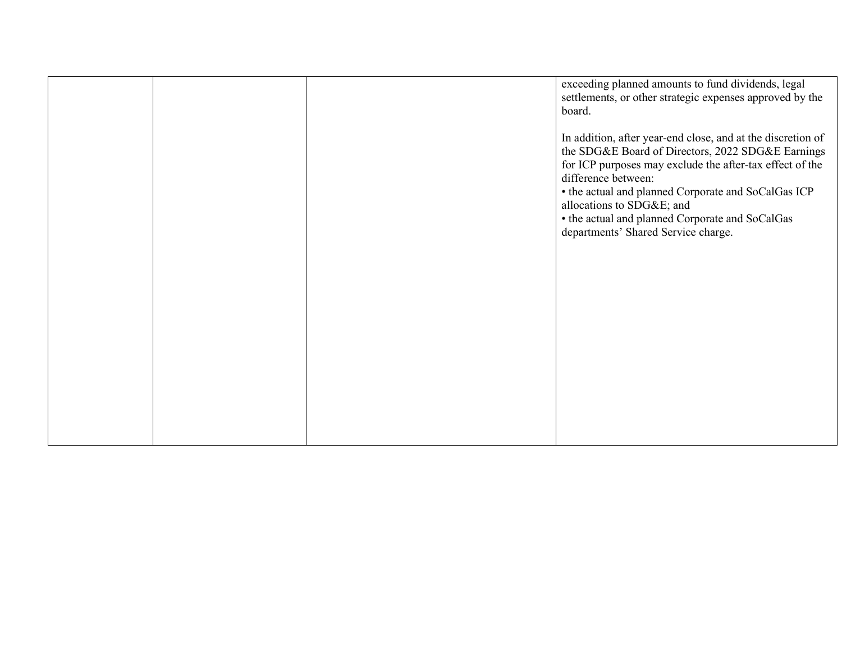|  | exceeding planned amounts to fund dividends, legal<br>settlements, or other strategic expenses approved by the<br>board.<br>In addition, after year-end close, and at the discretion of                                 |
|--|-------------------------------------------------------------------------------------------------------------------------------------------------------------------------------------------------------------------------|
|  | the SDG&E Board of Directors, 2022 SDG&E Earnings<br>for ICP purposes may exclude the after-tax effect of the<br>difference between:<br>• the actual and planned Corporate and SoCalGas ICP<br>allocations to SDG&E and |
|  | • the actual and planned Corporate and SoCalGas<br>departments' Shared Service charge.                                                                                                                                  |
|  |                                                                                                                                                                                                                         |
|  |                                                                                                                                                                                                                         |
|  |                                                                                                                                                                                                                         |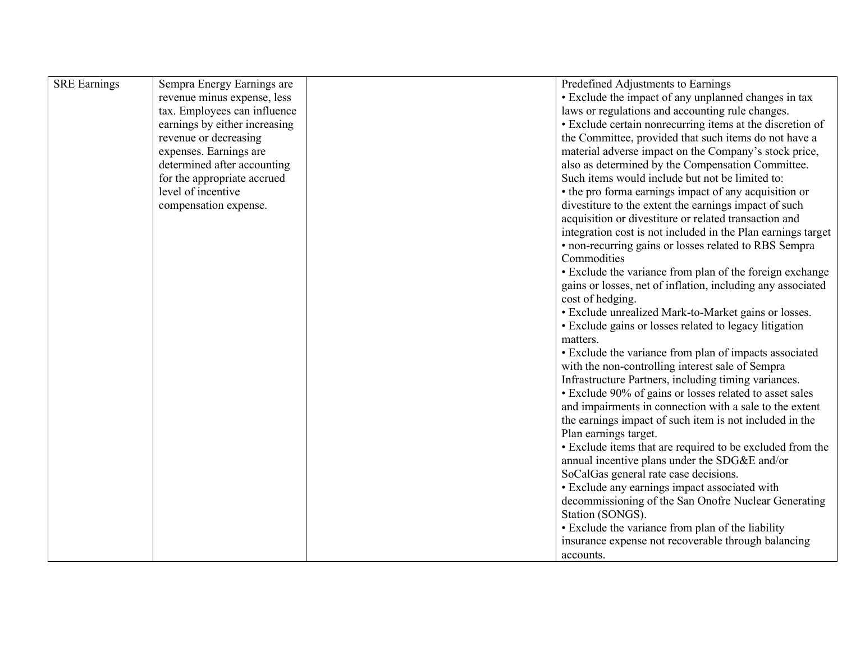| <b>SRE</b> Earnings | Sempra Energy Earnings are    | Predefined Adjustments to Earnings                           |
|---------------------|-------------------------------|--------------------------------------------------------------|
|                     | revenue minus expense, less   | • Exclude the impact of any unplanned changes in tax         |
|                     | tax. Employees can influence  | laws or regulations and accounting rule changes.             |
|                     | earnings by either increasing | • Exclude certain nonrecurring items at the discretion of    |
|                     | revenue or decreasing         | the Committee, provided that such items do not have a        |
|                     | expenses. Earnings are        | material adverse impact on the Company's stock price,        |
|                     | determined after accounting   | also as determined by the Compensation Committee.            |
|                     | for the appropriate accrued   | Such items would include but not be limited to:              |
|                     | level of incentive            | • the pro forma earnings impact of any acquisition or        |
|                     | compensation expense.         | divestiture to the extent the earnings impact of such        |
|                     |                               | acquisition or divestiture or related transaction and        |
|                     |                               | integration cost is not included in the Plan earnings target |
|                     |                               | • non-recurring gains or losses related to RBS Sempra        |
|                     |                               | Commodities                                                  |
|                     |                               | • Exclude the variance from plan of the foreign exchange     |
|                     |                               | gains or losses, net of inflation, including any associated  |
|                     |                               | cost of hedging.                                             |
|                     |                               | • Exclude unrealized Mark-to-Market gains or losses.         |
|                     |                               | • Exclude gains or losses related to legacy litigation       |
|                     |                               | matters.                                                     |
|                     |                               | • Exclude the variance from plan of impacts associated       |
|                     |                               | with the non-controlling interest sale of Sempra             |
|                     |                               | Infrastructure Partners, including timing variances.         |
|                     |                               | • Exclude 90% of gains or losses related to asset sales      |
|                     |                               | and impairments in connection with a sale to the extent      |
|                     |                               | the earnings impact of such item is not included in the      |
|                     |                               | Plan earnings target.                                        |
|                     |                               | • Exclude items that are required to be excluded from the    |
|                     |                               | annual incentive plans under the SDG&E and/or                |
|                     |                               | SoCalGas general rate case decisions.                        |
|                     |                               | • Exclude any earnings impact associated with                |
|                     |                               | decommissioning of the San Onofre Nuclear Generating         |
|                     |                               | Station (SONGS).                                             |
|                     |                               | • Exclude the variance from plan of the liability            |
|                     |                               | insurance expense not recoverable through balancing          |
|                     |                               | accounts.                                                    |
|                     |                               |                                                              |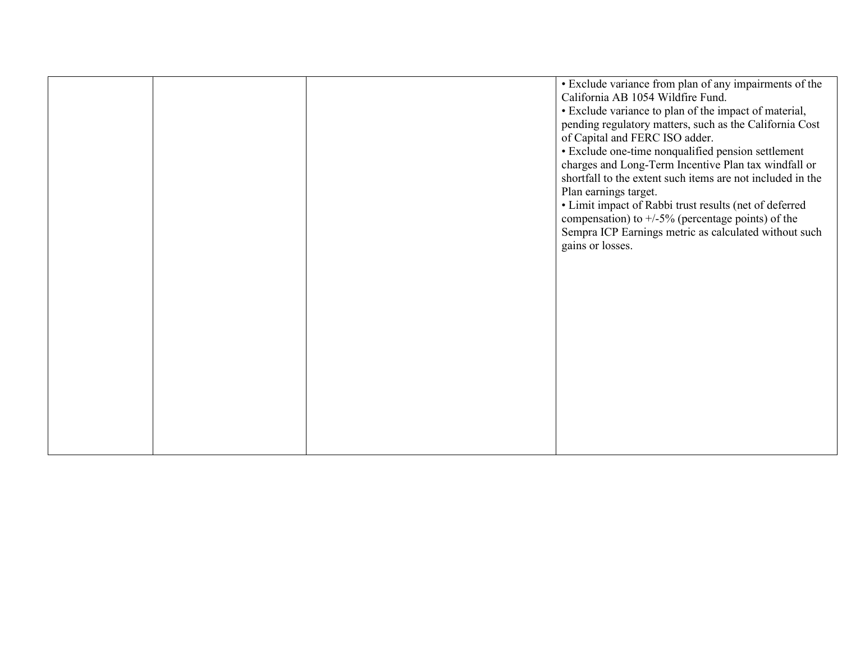|  | · Exclude variance from plan of any impairments of the<br>California AB 1054 Wildfire Fund. |
|--|---------------------------------------------------------------------------------------------|
|  |                                                                                             |
|  | • Exclude variance to plan of the impact of material,                                       |
|  | pending regulatory matters, such as the California Cost                                     |
|  | of Capital and FERC ISO adder.                                                              |
|  | · Exclude one-time nonqualified pension settlement                                          |
|  | charges and Long-Term Incentive Plan tax windfall or                                        |
|  | shortfall to the extent such items are not included in the                                  |
|  | Plan earnings target.                                                                       |
|  | • Limit impact of Rabbi trust results (net of deferred                                      |
|  | compensation) to $+/-5\%$ (percentage points) of the                                        |
|  | Sempra ICP Earnings metric as calculated without such                                       |
|  | gains or losses.                                                                            |
|  |                                                                                             |
|  |                                                                                             |
|  |                                                                                             |
|  |                                                                                             |
|  |                                                                                             |
|  |                                                                                             |
|  |                                                                                             |
|  |                                                                                             |
|  |                                                                                             |
|  |                                                                                             |
|  |                                                                                             |
|  |                                                                                             |
|  |                                                                                             |
|  |                                                                                             |
|  |                                                                                             |
|  |                                                                                             |
|  |                                                                                             |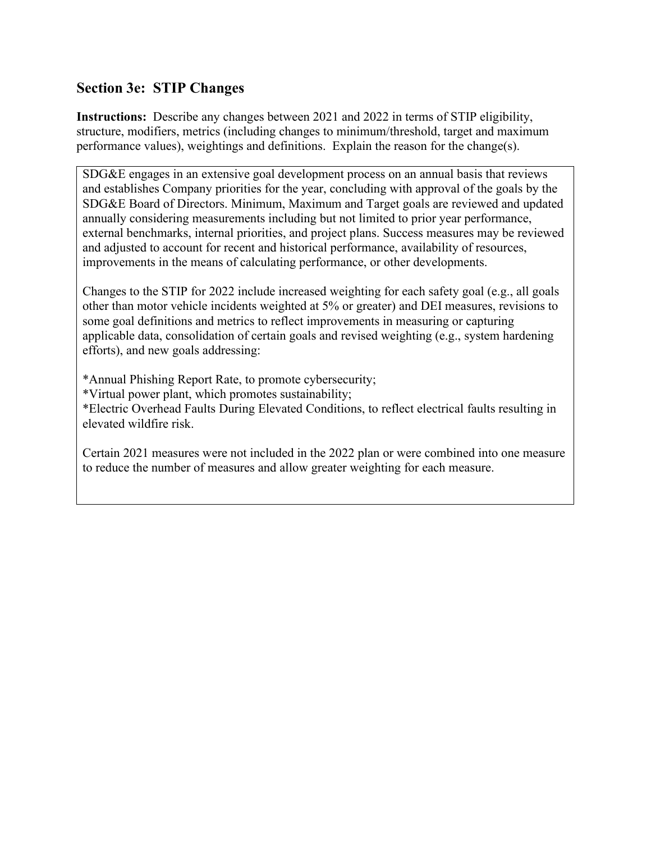## **Section 3e: STIP Changes**

**Instructions:** Describe any changes between 2021 and 2022 in terms of STIP eligibility, structure, modifiers, metrics (including changes to minimum/threshold, target and maximum performance values), weightings and definitions. Explain the reason for the change(s).

SDG&E engages in an extensive goal development process on an annual basis that reviews and establishes Company priorities for the year, concluding with approval of the goals by the SDG&E Board of Directors. Minimum, Maximum and Target goals are reviewed and updated annually considering measurements including but not limited to prior year performance, external benchmarks, internal priorities, and project plans. Success measures may be reviewed and adjusted to account for recent and historical performance, availability of resources, improvements in the means of calculating performance, or other developments.

Changes to the STIP for 2022 include increased weighting for each safety goal (e.g., all goals other than motor vehicle incidents weighted at 5% or greater) and DEI measures, revisions to some goal definitions and metrics to reflect improvements in measuring or capturing applicable data, consolidation of certain goals and revised weighting (e.g., system hardening efforts), and new goals addressing:

\*Annual Phishing Report Rate, to promote cybersecurity;

\*Virtual power plant, which promotes sustainability;

\*Electric Overhead Faults During Elevated Conditions, to reflect electrical faults resulting in elevated wildfire risk.

Certain 2021 measures were not included in the 2022 plan or were combined into one measure to reduce the number of measures and allow greater weighting for each measure.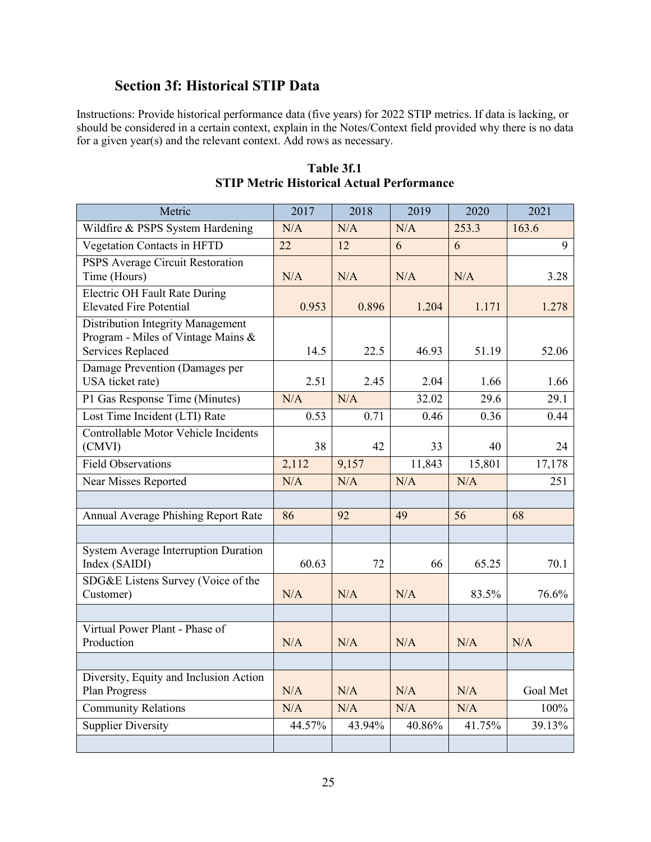## **Section 3f: Historical STIP Data**

Instructions: Provide historical performance data (five years) for 2022 STIP metrics. If data is lacking, or should be considered in a certain context, explain in the Notes/Context field provided why there is no data for a given year(s) and the relevant context. Add rows as necessary.

| Metric                                                                                       | 2017   | 2018   | 2019   | 2020   | 2021     |
|----------------------------------------------------------------------------------------------|--------|--------|--------|--------|----------|
| Wildfire & PSPS System Hardening                                                             | N/A    | N/A    | N/A    | 253.3  | 163.6    |
| Vegetation Contacts in HFTD                                                                  | 22     | 12     | 6      | 6      | 9        |
| PSPS Average Circuit Restoration<br>Time (Hours)                                             | N/A    | N/A    | N/A    | N/A    | 3.28     |
| Electric OH Fault Rate During<br><b>Elevated Fire Potential</b>                              | 0.953  | 0.896  | 1.204  | 1.171  | 1.278    |
| Distribution Integrity Management<br>Program - Miles of Vintage Mains &<br>Services Replaced | 14.5   | 22.5   | 46.93  | 51.19  | 52.06    |
| Damage Prevention (Damages per<br>USA ticket rate)                                           | 2.51   | 2.45   | 2.04   | 1.66   | 1.66     |
| P1 Gas Response Time (Minutes)                                                               | N/A    | N/A    | 32.02  | 29.6   | 29.1     |
| Lost Time Incident (LTI) Rate                                                                | 0.53   | 0.71   | 0.46   | 0.36   | 0.44     |
| Controllable Motor Vehicle Incidents<br>(CMVI)                                               | 38     | 42     | 33     | 40     | 24       |
| <b>Field Observations</b>                                                                    | 2,112  | 9,157  | 11,843 | 15,801 | 17,178   |
| Near Misses Reported                                                                         | N/A    | N/A    | N/A    | N/A    | 251      |
|                                                                                              |        |        |        |        |          |
| Annual Average Phishing Report Rate                                                          | 86     | 92     | 49     | 56     | 68       |
|                                                                                              |        |        |        |        |          |
| System Average Interruption Duration<br>Index (SAIDI)                                        | 60.63  | 72     | 66     | 65.25  | 70.1     |
| SDG&E Listens Survey (Voice of the<br>Customer)                                              | N/A    | N/A    | N/A    | 83.5%  | 76.6%    |
|                                                                                              |        |        |        |        |          |
| Virtual Power Plant - Phase of<br>Production                                                 | N/A    | N/A    | N/A    | N/A    | N/A      |
|                                                                                              |        |        |        |        |          |
| Diversity, Equity and Inclusion Action<br>Plan Progress                                      | N/A    | N/A    | N/A    | N/A    | Goal Met |
| <b>Community Relations</b>                                                                   | N/A    | N/A    | N/A    | N/A    | 100%     |
| Supplier Diversity                                                                           | 44.57% | 43.94% | 40.86% | 41.75% | 39.13%   |
|                                                                                              |        |        |        |        |          |

**Table 3f.1 STIP Metric Historical Actual Performance**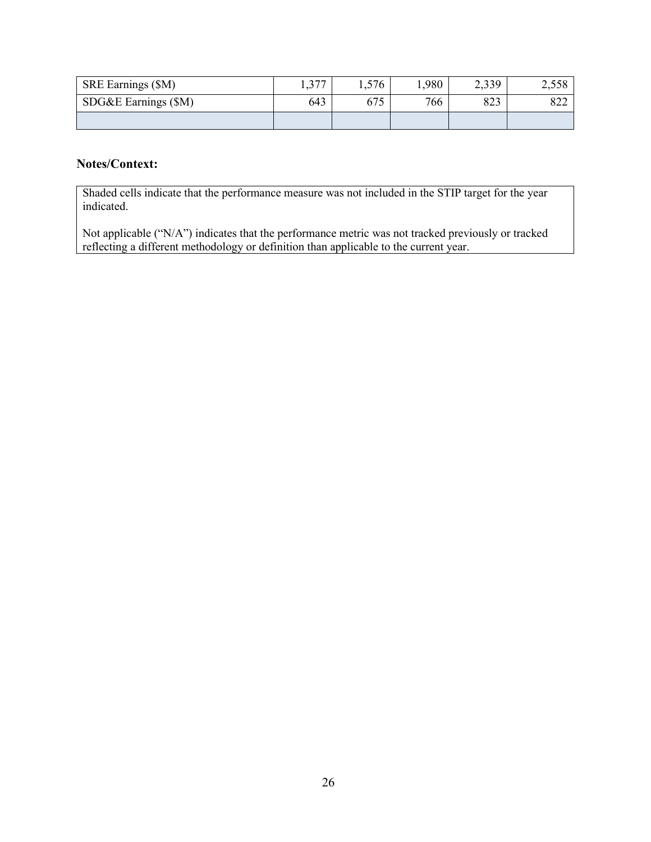| SRE Earnings (\$M)   | 277<br>1, 31 | 1,576                     | 1,980 | 2,339 | 7 55Q<br>2,000 |
|----------------------|--------------|---------------------------|-------|-------|----------------|
| SDG&E Earnings (\$M) | 643          | $\epsilon$ $\pi$<br>0 / J | 766   | 823   | 822            |
|                      |              |                           |       |       |                |

## **Notes/Context:**

Shaded cells indicate that the performance measure was not included in the STIP target for the year indicated.

Not applicable ("N/A") indicates that the performance metric was not tracked previously or tracked reflecting a different methodology or definition than applicable to the current year.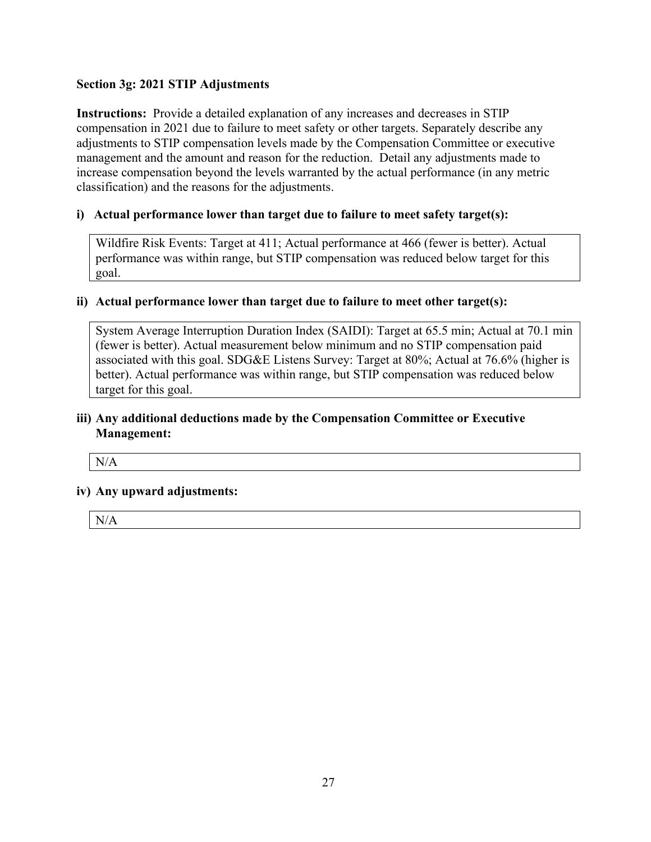## **Section 3g: 2021 STIP Adjustments**

**Instructions:** Provide a detailed explanation of any increases and decreases in STIP compensation in 2021 due to failure to meet safety or other targets. Separately describe any adjustments to STIP compensation levels made by the Compensation Committee or executive management and the amount and reason for the reduction. Detail any adjustments made to increase compensation beyond the levels warranted by the actual performance (in any metric classification) and the reasons for the adjustments.

## **i) Actual performance lower than target due to failure to meet safety target(s):**

Wildfire Risk Events: Target at 411; Actual performance at 466 (fewer is better). Actual performance was within range, but STIP compensation was reduced below target for this goal.

### **ii) Actual performance lower than target due to failure to meet other target(s):**

System Average Interruption Duration Index (SAIDI): Target at 65.5 min; Actual at 70.1 min (fewer is better). Actual measurement below minimum and no STIP compensation paid associated with this goal. SDG&E Listens Survey: Target at 80%; Actual at 76.6% (higher is better). Actual performance was within range, but STIP compensation was reduced below target for this goal.

## **iii) Any additional deductions made by the Compensation Committee or Executive Management:**

N/A

### **iv) Any upward adjustments:**

N/A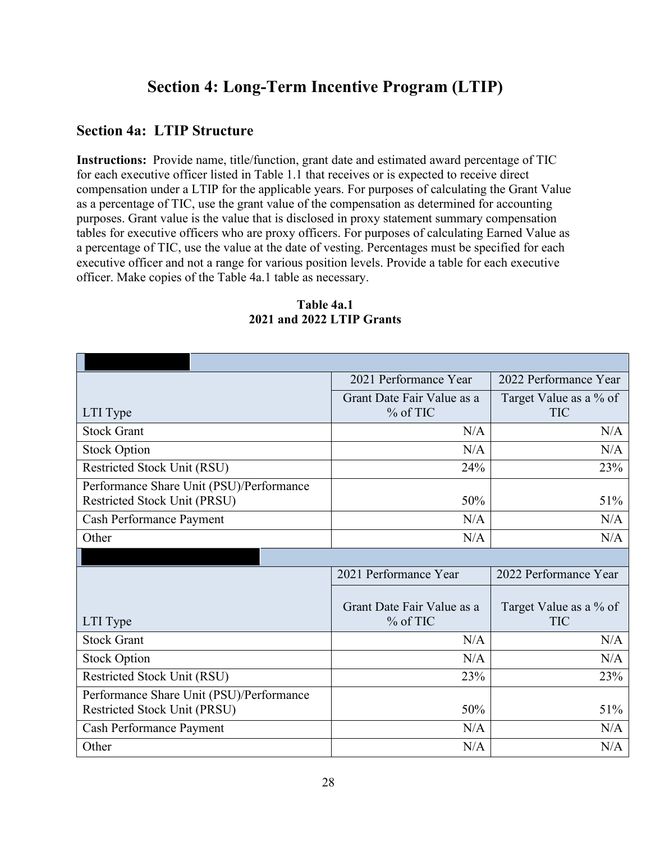# **Section 4: Long-Term Incentive Program (LTIP)**

## **Section 4a: LTIP Structure**

**Instructions:** Provide name, title/function, grant date and estimated award percentage of TIC for each executive officer listed in Table 1.1 that receives or is expected to receive direct compensation under a LTIP for the applicable years. For purposes of calculating the Grant Value as a percentage of TIC, use the grant value of the compensation as determined for accounting purposes. Grant value is the value that is disclosed in proxy statement summary compensation tables for executive officers who are proxy officers. For purposes of calculating Earned Value as a percentage of TIC, use the value at the date of vesting. Percentages must be specified for each executive officer and not a range for various position levels. Provide a table for each executive officer. Make copies of the Table 4a.1 table as necessary.

|                                          | 2021 Performance Year      | 2022 Performance Year  |
|------------------------------------------|----------------------------|------------------------|
|                                          | Grant Date Fair Value as a | Target Value as a % of |
| LTI Type                                 | $%$ of TIC                 | <b>TIC</b>             |
| <b>Stock Grant</b>                       | N/A                        | N/A                    |
| <b>Stock Option</b>                      | N/A                        | N/A                    |
| Restricted Stock Unit (RSU)              | 24%                        | 23%                    |
| Performance Share Unit (PSU)/Performance |                            |                        |
| Restricted Stock Unit (PRSU)             | 50%                        | 51%                    |
| Cash Performance Payment                 | N/A                        | N/A                    |
| Other                                    | N/A                        | N/A                    |
|                                          |                            |                        |
|                                          | 2021 Performance Year      | 2022 Performance Year  |
|                                          | Grant Date Fair Value as a | Target Value as a % of |
| LTI Type                                 | $%$ of TIC                 | <b>TIC</b>             |
| <b>Stock Grant</b>                       | N/A                        | N/A                    |
| <b>Stock Option</b>                      | N/A                        | N/A                    |
| Restricted Stock Unit (RSU)              | 23%                        | 23%                    |
| Performance Share Unit (PSU)/Performance |                            |                        |
| Restricted Stock Unit (PRSU)             | 50%                        | 51%                    |
| Cash Performance Payment                 | N/A                        | N/A                    |
| Other                                    | N/A                        | N/A                    |

## **Table 4a.1 2021 and 2022 LTIP Grants**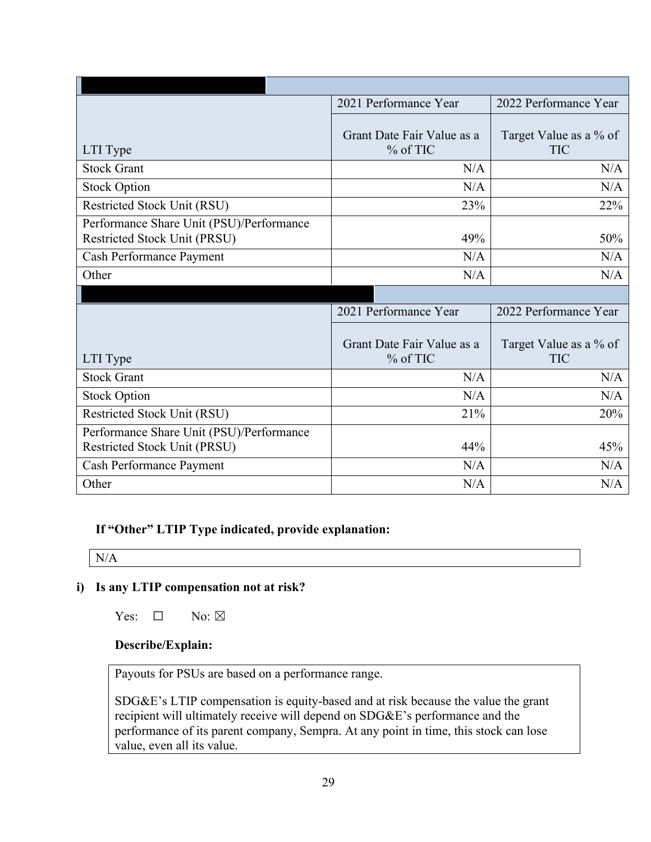|                                                                          | 2021 Performance Year                    | 2022 Performance Year                |
|--------------------------------------------------------------------------|------------------------------------------|--------------------------------------|
| LTI Type                                                                 | Grant Date Fair Value as a<br>$%$ of TIC | Target Value as a % of<br><b>TIC</b> |
| <b>Stock Grant</b>                                                       | N/A                                      | N/A                                  |
| <b>Stock Option</b>                                                      | N/A                                      | N/A                                  |
| Restricted Stock Unit (RSU)                                              | 23%                                      | 22%                                  |
| Performance Share Unit (PSU)/Performance<br>Restricted Stock Unit (PRSU) | 49%                                      | 50%                                  |
| <b>Cash Performance Payment</b>                                          | N/A                                      | N/A                                  |
| Other                                                                    | N/A                                      | N/A                                  |
|                                                                          |                                          |                                      |
|                                                                          |                                          |                                      |
|                                                                          | 2021 Performance Year                    | 2022 Performance Year                |
| LTI Type                                                                 | Grant Date Fair Value as a<br>% of TIC   | Target Value as a % of<br><b>TIC</b> |
| <b>Stock Grant</b>                                                       | N/A                                      | N/A                                  |
| <b>Stock Option</b>                                                      | N/A                                      | N/A                                  |
| Restricted Stock Unit (RSU)                                              | 21%                                      | 20%                                  |
| Performance Share Unit (PSU)/Performance<br>Restricted Stock Unit (PRSU) | 44%                                      | 45%                                  |
| Cash Performance Payment                                                 | N/A                                      | N/A                                  |

**If "Other" LTIP Type indicated, provide explanation:** 

 $N/A$ 

## **i) Is any LTIP compensation not at risk?**

Yes:  $\square$  No:  $\square$ 

## **Describe/Explain:**

Payouts for PSUs are based on a performance range.

SDG&E's LTIP compensation is equity-based and at risk because the value the grant recipient will ultimately receive will depend on SDG&E's performance and the performance of its parent company, Sempra. At any point in time, this stock can lose value, even all its value.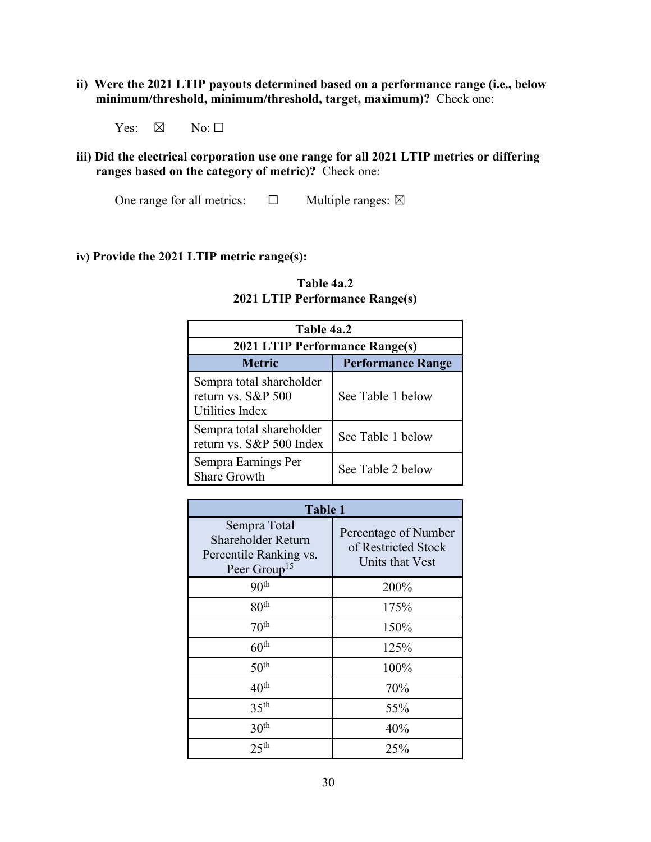**ii) Were the 2021 LTIP payouts determined based on a performance range (i.e., below minimum/threshold, minimum/threshold, target, maximum)?** Check one:

Yes:  $\boxtimes$  No:  $\square$ 

**iii) Did the electrical corporation use one range for all 2021 LTIP metrics or differing ranges based on the category of metric)?** Check one:

One range for all metrics:  $\Box$  Multiple ranges:  $\boxtimes$ 

### **iv) Provide the 2021 LTIP metric range(s):**

| Table 4a.2                                                        |                   |  |
|-------------------------------------------------------------------|-------------------|--|
| <b>2021 LTIP Performance Range(s)</b>                             |                   |  |
| <b>Metric</b><br><b>Performance Range</b>                         |                   |  |
| Sempra total shareholder<br>return vs. S&P 500<br>Utilities Index | See Table 1 below |  |
| Sempra total shareholder<br>return vs. S&P 500 Index              | See Table 1 below |  |
| Sempra Earnings Per<br><b>Share Growth</b>                        | See Table 2 below |  |

## **Table 4a.2 2021 LTIP Performance Range(s)**

| <b>Table 1</b>                                                                           |                                                                |  |
|------------------------------------------------------------------------------------------|----------------------------------------------------------------|--|
| Sempra Total<br>Shareholder Return<br>Percentile Ranking vs.<br>Peer Group <sup>15</sup> | Percentage of Number<br>of Restricted Stock<br>Units that Vest |  |
| 90 <sup>th</sup>                                                                         | 200%                                                           |  |
| 80 <sup>th</sup>                                                                         | 175%                                                           |  |
| 70 <sup>th</sup>                                                                         | 150%                                                           |  |
| $60^{\text{th}}$                                                                         | 125%                                                           |  |
| 50 <sup>th</sup>                                                                         | 100%                                                           |  |
| 40 <sup>th</sup>                                                                         | 70%                                                            |  |
| 35 <sup>th</sup>                                                                         | 55%                                                            |  |
| 30 <sup>th</sup>                                                                         | 40%                                                            |  |
| 25 <sup>th</sup>                                                                         | 25%                                                            |  |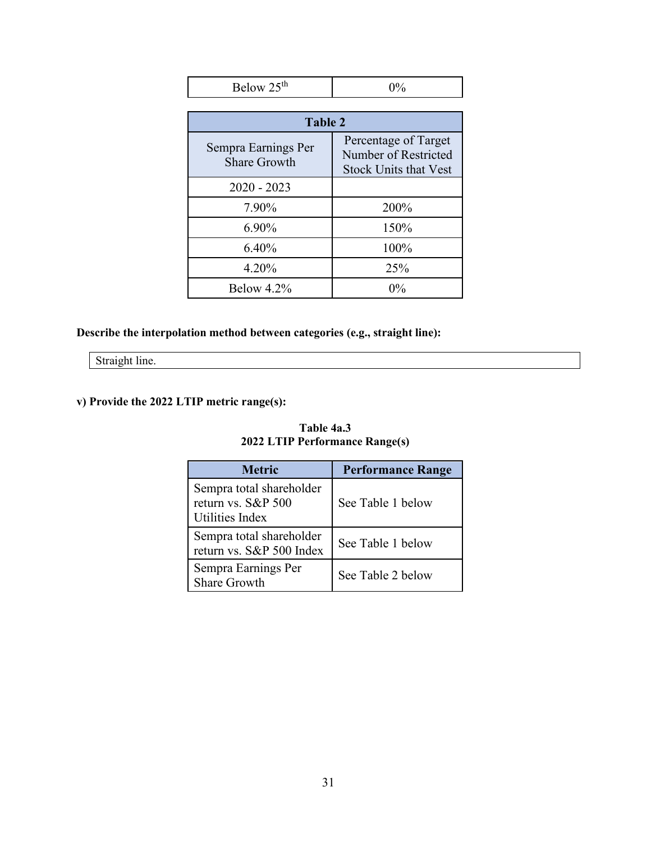| Below 25 <sup>th</sup>                     | $0\%$                                                                        |
|--------------------------------------------|------------------------------------------------------------------------------|
|                                            |                                                                              |
| Table 2                                    |                                                                              |
| Sempra Earnings Per<br><b>Share Growth</b> | Percentage of Target<br>Number of Restricted<br><b>Stock Units that Vest</b> |
| $2020 - 2023$                              |                                                                              |
| 7.90%                                      | 200%                                                                         |
| 6.90%                                      | 150%                                                                         |
| 6.40%                                      | 100%                                                                         |
| 4.20%                                      | 25%                                                                          |
| Below $4.2\%$                              | $0\%$                                                                        |

## **Describe the interpolation method between categories (e.g., straight line):**

Straight line.

## **v) Provide the 2022 LTIP metric range(s):**

| <b>Metric</b>                                                        | <b>Performance Range</b> |
|----------------------------------------------------------------------|--------------------------|
| Sempra total shareholder<br>return vs. $S\&P 500$<br>Utilities Index | See Table 1 below        |
| Sempra total shareholder<br>return vs. S&P 500 Index                 | See Table 1 below        |
| Sempra Earnings Per<br><b>Share Growth</b>                           | See Table 2 below        |

## **Table 4a.3 2022 LTIP Performance Range(s)**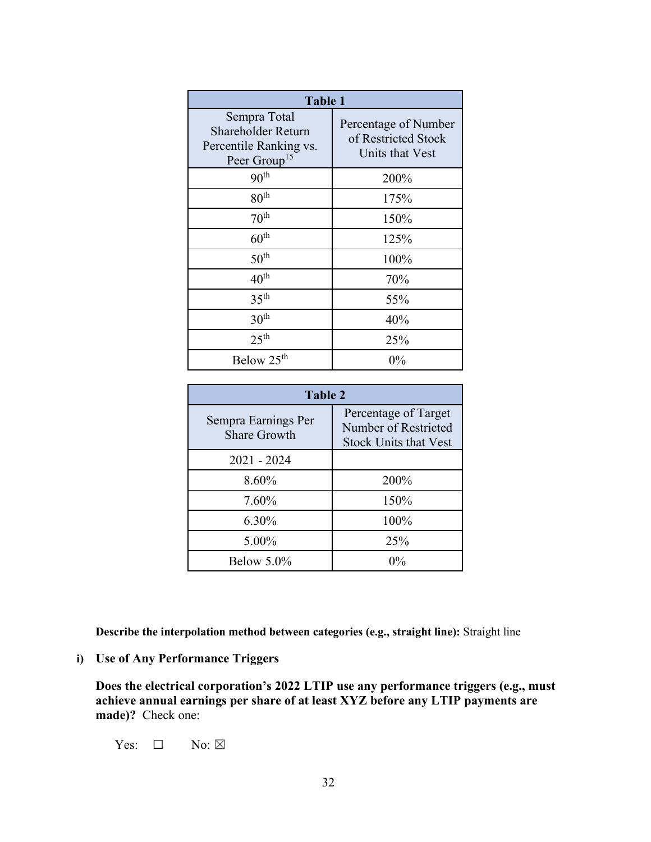| <b>Table 1</b>                                                                           |                                                                |  |
|------------------------------------------------------------------------------------------|----------------------------------------------------------------|--|
| Sempra Total<br>Shareholder Return<br>Percentile Ranking vs.<br>Peer Group <sup>15</sup> | Percentage of Number<br>of Restricted Stock<br>Units that Vest |  |
| 90 <sup>th</sup>                                                                         | 200%                                                           |  |
| 80 <sup>th</sup>                                                                         | 175%                                                           |  |
| 70 <sup>th</sup>                                                                         | 150%                                                           |  |
| $60^{\rm th}$                                                                            | 125%                                                           |  |
| 50 <sup>th</sup>                                                                         | 100%                                                           |  |
| $40^{\text{th}}$                                                                         | 70%                                                            |  |
| 35 <sup>th</sup>                                                                         | 55%                                                            |  |
| 30 <sup>th</sup>                                                                         | 40%                                                            |  |
| 25 <sup>th</sup>                                                                         | 25%                                                            |  |
| Below 25 <sup>th</sup>                                                                   | 0%                                                             |  |

| <b>Table 2</b>                             |                                                                              |  |
|--------------------------------------------|------------------------------------------------------------------------------|--|
| Sempra Earnings Per<br><b>Share Growth</b> | Percentage of Target<br>Number of Restricted<br><b>Stock Units that Vest</b> |  |
| $2021 - 2024$                              |                                                                              |  |
| 8.60%                                      | 200%                                                                         |  |
| 7.60%                                      | 150%                                                                         |  |
| 6.30%                                      | 100%                                                                         |  |
| 5.00%                                      | 25%                                                                          |  |
| Below $5.0\%$                              | $0\%$                                                                        |  |

**Describe the interpolation method between categories (e.g., straight line):** Straight line

## **i) Use of Any Performance Triggers**

**Does the electrical corporation's 2022 LTIP use any performance triggers (e.g., must achieve annual earnings per share of at least XYZ before any LTIP payments are made)?** Check one:

Yes:  $\Box$  No:  $\boxtimes$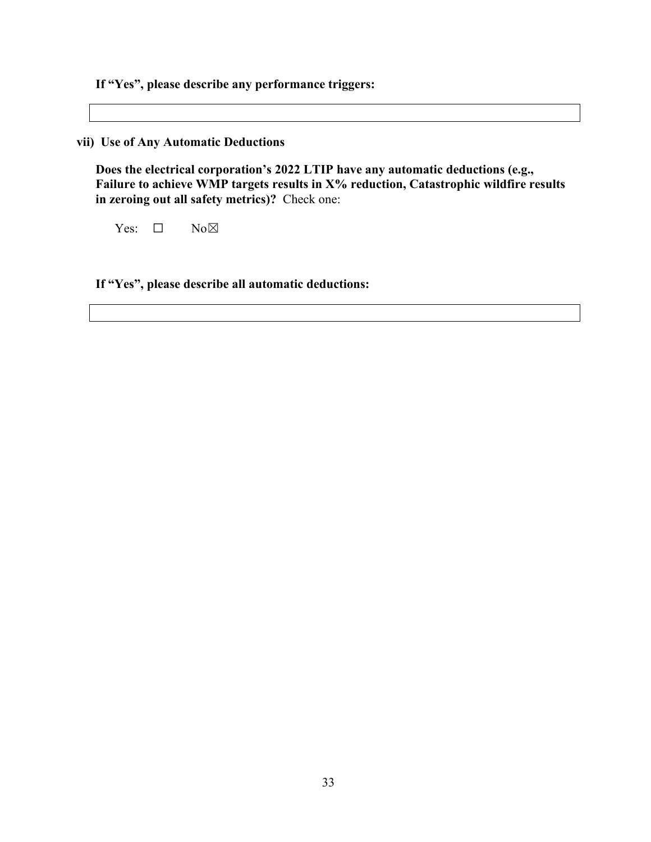**If "Yes", please describe any performance triggers:** 

**vii) Use of Any Automatic Deductions**

**Does the electrical corporation's 2022 LTIP have any automatic deductions (e.g., Failure to achieve WMP targets results in X% reduction, Catastrophic wildfire results in zeroing out all safety metrics)?** Check one:

Yes: □ No⊠

**If "Yes", please describe all automatic deductions:**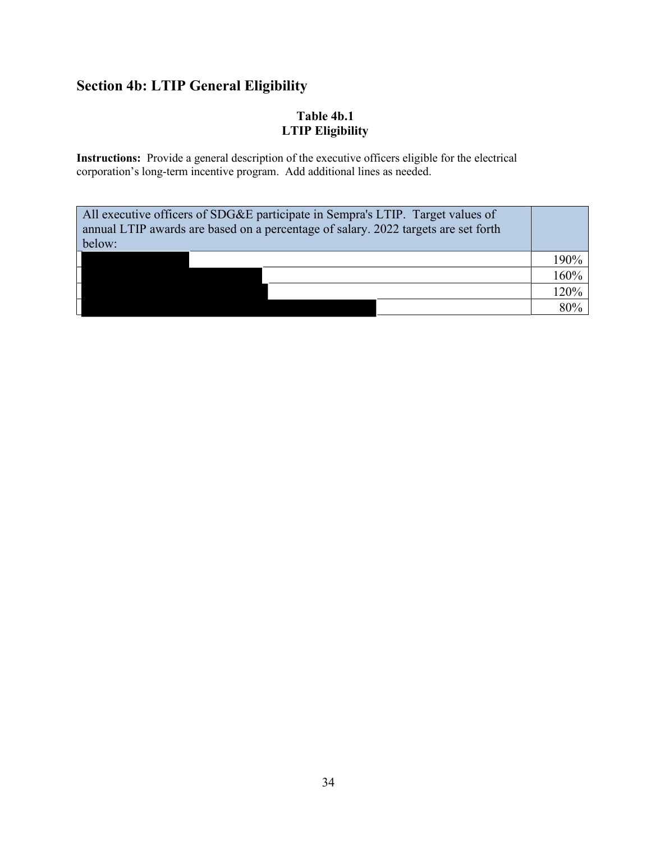# **Section 4b: LTIP General Eligibility**

## **Table 4b.1 LTIP Eligibility**

**Instructions:** Provide a general description of the executive officers eligible for the electrical corporation's long-term incentive program. Add additional lines as needed.

| All executive officers of SDG&E participate in Sempra's LTIP. Target values of<br>annual LTIP awards are based on a percentage of salary. 2022 targets are set forth<br>below: |      |
|--------------------------------------------------------------------------------------------------------------------------------------------------------------------------------|------|
|                                                                                                                                                                                | 190% |
|                                                                                                                                                                                | 160% |
|                                                                                                                                                                                | 120% |
|                                                                                                                                                                                | 80%  |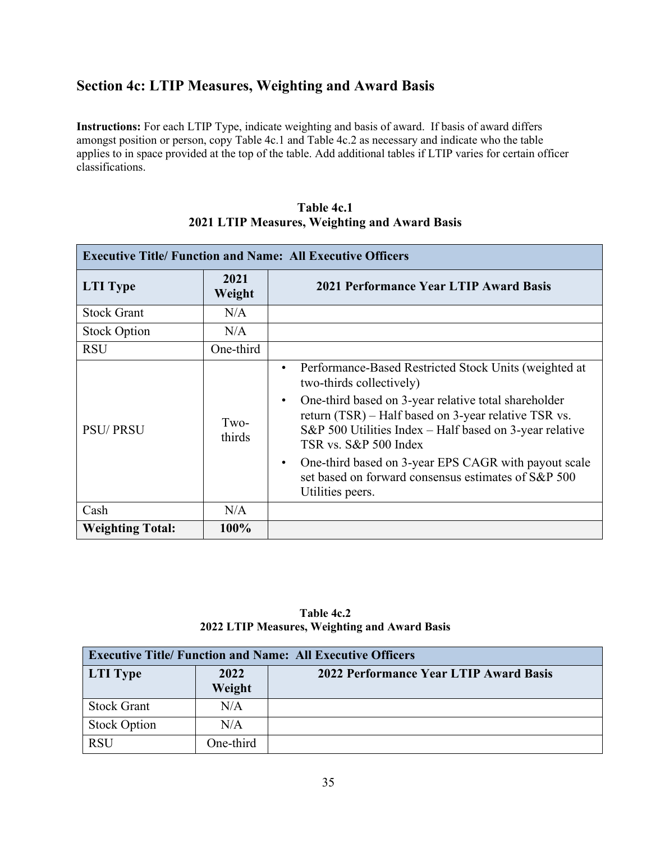# **Section 4c: LTIP Measures, Weighting and Award Basis**

**Instructions:** For each LTIP Type, indicate weighting and basis of award. If basis of award differs amongst position or person, copy Table 4c.1 and Table 4c.2 as necessary and indicate who the table applies to in space provided at the top of the table. Add additional tables if LTIP varies for certain officer classifications.

| Table 4c.1                                    |  |  |
|-----------------------------------------------|--|--|
| 2021 LTIP Measures, Weighting and Award Basis |  |  |

| <b>Executive Title/ Function and Name: All Executive Officers</b> |                |                                                                                                                                                                                                                                                                                                                                                                                                                                                                   |
|-------------------------------------------------------------------|----------------|-------------------------------------------------------------------------------------------------------------------------------------------------------------------------------------------------------------------------------------------------------------------------------------------------------------------------------------------------------------------------------------------------------------------------------------------------------------------|
| <b>LTI</b> Type                                                   | 2021<br>Weight | 2021 Performance Year LTIP Award Basis                                                                                                                                                                                                                                                                                                                                                                                                                            |
| <b>Stock Grant</b>                                                | N/A            |                                                                                                                                                                                                                                                                                                                                                                                                                                                                   |
| <b>Stock Option</b>                                               | N/A            |                                                                                                                                                                                                                                                                                                                                                                                                                                                                   |
| <b>RSU</b>                                                        | One-third      |                                                                                                                                                                                                                                                                                                                                                                                                                                                                   |
| <b>PSU/PRSU</b>                                                   | Two-<br>thirds | Performance-Based Restricted Stock Units (weighted at<br>$\bullet$<br>two-thirds collectively)<br>One-third based on 3-year relative total shareholder<br>$\bullet$<br>return (TSR) – Half based on 3-year relative TSR vs.<br>S&P 500 Utilities Index $-$ Half based on 3-year relative<br>TSR vs. S&P 500 Index<br>One-third based on 3-year EPS CAGR with payout scale<br>$\bullet$<br>set based on forward consensus estimates of S&P 500<br>Utilities peers. |
| Cash                                                              | N/A            |                                                                                                                                                                                                                                                                                                                                                                                                                                                                   |
| <b>Weighting Total:</b>                                           | 100%           |                                                                                                                                                                                                                                                                                                                                                                                                                                                                   |

| Table 4c.2 |                                               |  |
|------------|-----------------------------------------------|--|
|            | 2022 LTIP Measures, Weighting and Award Basis |  |

| <b>Executive Title/ Function and Name: All Executive Officers</b> |                |                                        |
|-------------------------------------------------------------------|----------------|----------------------------------------|
| <b>LTI</b> Type                                                   | 2022<br>Weight | 2022 Performance Year LTIP Award Basis |
| <b>Stock Grant</b>                                                | N/A            |                                        |
| <b>Stock Option</b>                                               | N/A            |                                        |
| <b>RSU</b>                                                        | One-third      |                                        |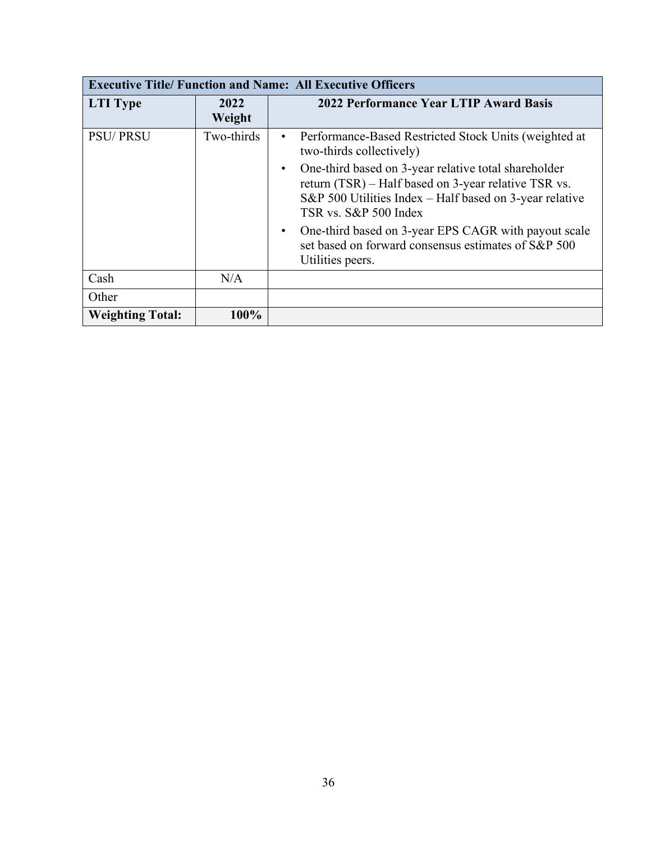| <b>Executive Title/ Function and Name: All Executive Officers</b> |                |                                                                                                                                                                                                  |  |  |  |
|-------------------------------------------------------------------|----------------|--------------------------------------------------------------------------------------------------------------------------------------------------------------------------------------------------|--|--|--|
| <b>LTI</b> Type                                                   | 2022<br>Weight | 2022 Performance Year LTIP Award Basis                                                                                                                                                           |  |  |  |
| <b>PSU/PRSU</b>                                                   | Two-thirds     | Performance-Based Restricted Stock Units (weighted at<br>$\bullet$<br>two-thirds collectively)                                                                                                   |  |  |  |
|                                                                   |                | One-third based on 3-year relative total shareholder<br>return (TSR) – Half based on 3-year relative TSR vs.<br>S&P 500 Utilities Index – Half based on 3-year relative<br>TSR vs. S&P 500 Index |  |  |  |
|                                                                   |                | One-third based on 3-year EPS CAGR with payout scale<br>set based on forward consensus estimates of S&P 500<br>Utilities peers.                                                                  |  |  |  |
| Cash                                                              | N/A            |                                                                                                                                                                                                  |  |  |  |
| Other                                                             |                |                                                                                                                                                                                                  |  |  |  |
| <b>Weighting Total:</b>                                           | 100%           |                                                                                                                                                                                                  |  |  |  |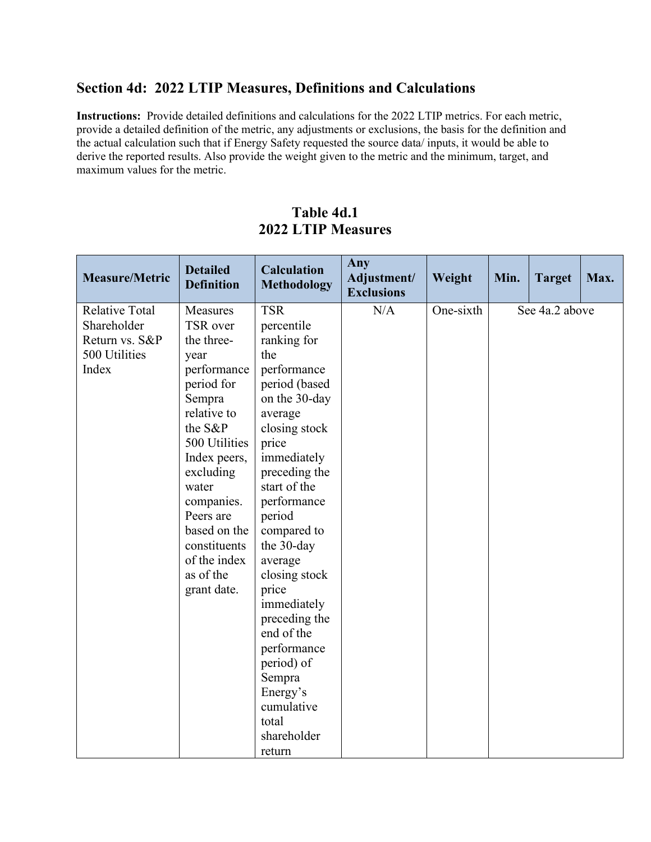## **Section 4d: 2022 LTIP Measures, Definitions and Calculations**

**Instructions:** Provide detailed definitions and calculations for the 2022 LTIP metrics. For each metric, provide a detailed definition of the metric, any adjustments or exclusions, the basis for the definition and the actual calculation such that if Energy Safety requested the source data/ inputs, it would be able to derive the reported results. Also provide the weight given to the metric and the minimum, target, and maximum values for the metric.

| <b>Measure/Metric</b>                                                            | <b>Detailed</b><br><b>Definition</b>                                                                                                                                                                                                                                      | <b>Calculation</b><br><b>Methodology</b>                                                                                                                                                                                                                                                                                                                                                                               | Any<br>Adjustment/<br><b>Exclusions</b> | Weight    | Min. | <b>Target</b>  | Max. |
|----------------------------------------------------------------------------------|---------------------------------------------------------------------------------------------------------------------------------------------------------------------------------------------------------------------------------------------------------------------------|------------------------------------------------------------------------------------------------------------------------------------------------------------------------------------------------------------------------------------------------------------------------------------------------------------------------------------------------------------------------------------------------------------------------|-----------------------------------------|-----------|------|----------------|------|
| <b>Relative Total</b><br>Shareholder<br>Return vs. S&P<br>500 Utilities<br>Index | Measures<br>TSR over<br>the three-<br>year<br>performance<br>period for<br>Sempra<br>relative to<br>the S&P<br>500 Utilities<br>Index peers,<br>excluding<br>water<br>companies.<br>Peers are<br>based on the<br>constituents<br>of the index<br>as of the<br>grant date. | <b>TSR</b><br>percentile<br>ranking for<br>the<br>performance<br>period (based<br>on the 30-day<br>average<br>closing stock<br>price<br>immediately<br>preceding the<br>start of the<br>performance<br>period<br>compared to<br>the 30-day<br>average<br>closing stock<br>price<br>immediately<br>preceding the<br>end of the<br>performance<br>period) of<br>Sempra<br>Energy's<br>cumulative<br>total<br>shareholder | N/A                                     | One-sixth |      | See 4a.2 above |      |
|                                                                                  |                                                                                                                                                                                                                                                                           | return                                                                                                                                                                                                                                                                                                                                                                                                                 |                                         |           |      |                |      |

## **Table 4d.1 2022 LTIP Measures**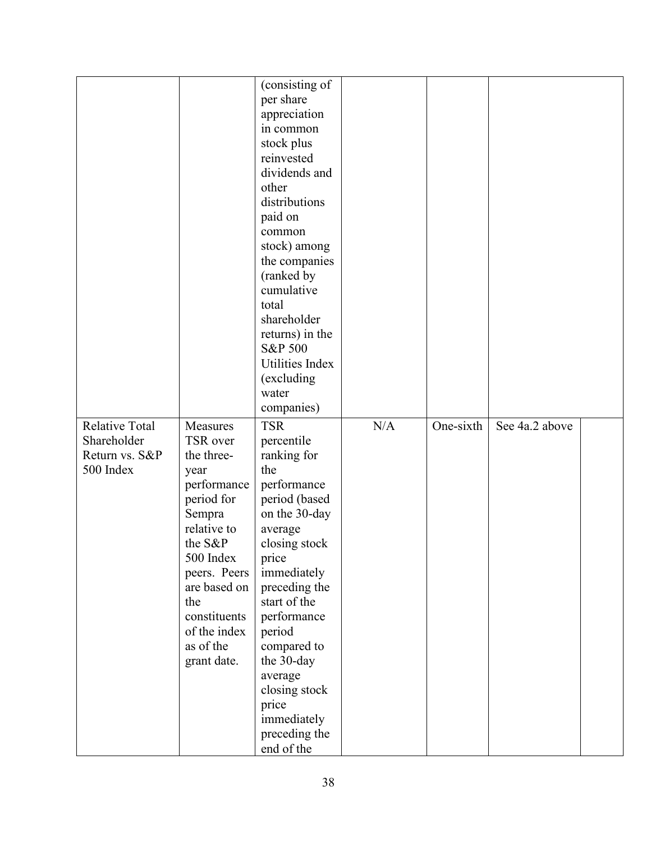|                       |                              | (consisting of                |     |           |                |  |
|-----------------------|------------------------------|-------------------------------|-----|-----------|----------------|--|
|                       |                              | per share                     |     |           |                |  |
|                       |                              | appreciation                  |     |           |                |  |
|                       |                              | in common                     |     |           |                |  |
|                       |                              | stock plus                    |     |           |                |  |
|                       |                              | reinvested                    |     |           |                |  |
|                       |                              | dividends and                 |     |           |                |  |
|                       |                              | other                         |     |           |                |  |
|                       |                              | distributions                 |     |           |                |  |
|                       |                              | paid on                       |     |           |                |  |
|                       |                              | common                        |     |           |                |  |
|                       |                              | stock) among                  |     |           |                |  |
|                       |                              | the companies                 |     |           |                |  |
|                       |                              | (ranked by                    |     |           |                |  |
|                       |                              | cumulative                    |     |           |                |  |
|                       |                              | total                         |     |           |                |  |
|                       |                              | shareholder                   |     |           |                |  |
|                       |                              |                               |     |           |                |  |
|                       |                              | returns) in the               |     |           |                |  |
|                       |                              | S&P 500                       |     |           |                |  |
|                       |                              | Utilities Index               |     |           |                |  |
|                       |                              | (excluding                    |     |           |                |  |
|                       |                              | water                         |     |           |                |  |
|                       |                              | companies)                    |     |           |                |  |
| <b>Relative Total</b> | Measures                     | <b>TSR</b>                    | N/A | One-sixth | See 4a.2 above |  |
| Shareholder           | TSR over                     | percentile                    |     |           |                |  |
| Return vs. S&P        | the three-                   |                               |     |           |                |  |
|                       |                              | ranking for                   |     |           |                |  |
| 500 Index             | year                         | the                           |     |           |                |  |
|                       | performance                  | performance                   |     |           |                |  |
|                       | period for                   | period (based                 |     |           |                |  |
|                       | Sempra                       | on the 30-day                 |     |           |                |  |
|                       | relative to                  | average                       |     |           |                |  |
|                       | the S&P                      | closing stock                 |     |           |                |  |
|                       | 500 Index                    |                               |     |           |                |  |
|                       |                              | price                         |     |           |                |  |
|                       | peers. Peers<br>are based on | immediately                   |     |           |                |  |
|                       | the                          | preceding the<br>start of the |     |           |                |  |
|                       | constituents                 |                               |     |           |                |  |
|                       |                              | performance                   |     |           |                |  |
|                       | of the index                 | period                        |     |           |                |  |
|                       | as of the                    | compared to                   |     |           |                |  |
|                       | grant date.                  | the 30-day                    |     |           |                |  |
|                       |                              | average                       |     |           |                |  |
|                       |                              | closing stock                 |     |           |                |  |
|                       |                              | price                         |     |           |                |  |
|                       |                              | immediately                   |     |           |                |  |
|                       |                              | preceding the<br>end of the   |     |           |                |  |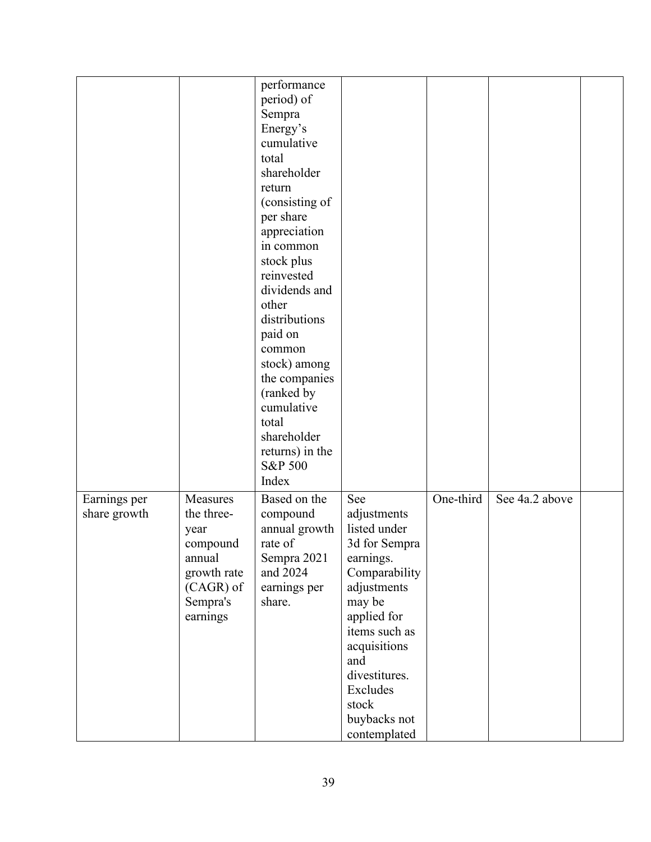|                              |                                                                                                          | performance<br>period) of<br>Sempra<br>Energy's<br>cumulative<br>total<br>shareholder<br>return<br>(consisting of<br>per share<br>appreciation<br>in common<br>stock plus<br>reinvested<br>dividends and<br>other<br>distributions<br>paid on<br>common<br>stock) among<br>the companies<br>(ranked by<br>cumulative<br>total<br>shareholder<br>returns) in the<br>S&P 500<br>Index |                                                                                                                                                                                                                                         |           |                |  |
|------------------------------|----------------------------------------------------------------------------------------------------------|-------------------------------------------------------------------------------------------------------------------------------------------------------------------------------------------------------------------------------------------------------------------------------------------------------------------------------------------------------------------------------------|-----------------------------------------------------------------------------------------------------------------------------------------------------------------------------------------------------------------------------------------|-----------|----------------|--|
| Earnings per<br>share growth | Measures<br>the three-<br>year<br>compound<br>annual<br>growth rate<br>(CAGR) of<br>Sempra's<br>earnings | Based on the<br>compound<br>annual growth<br>rate of<br>Sempra 2021<br>and 2024<br>earnings per<br>share.                                                                                                                                                                                                                                                                           | See<br>adjustments<br>listed under<br>3d for Sempra<br>earnings.<br>Comparability<br>adjustments<br>may be<br>applied for<br>items such as<br>acquisitions<br>and<br>divestitures.<br>Excludes<br>stock<br>buybacks not<br>contemplated | One-third | See 4a.2 above |  |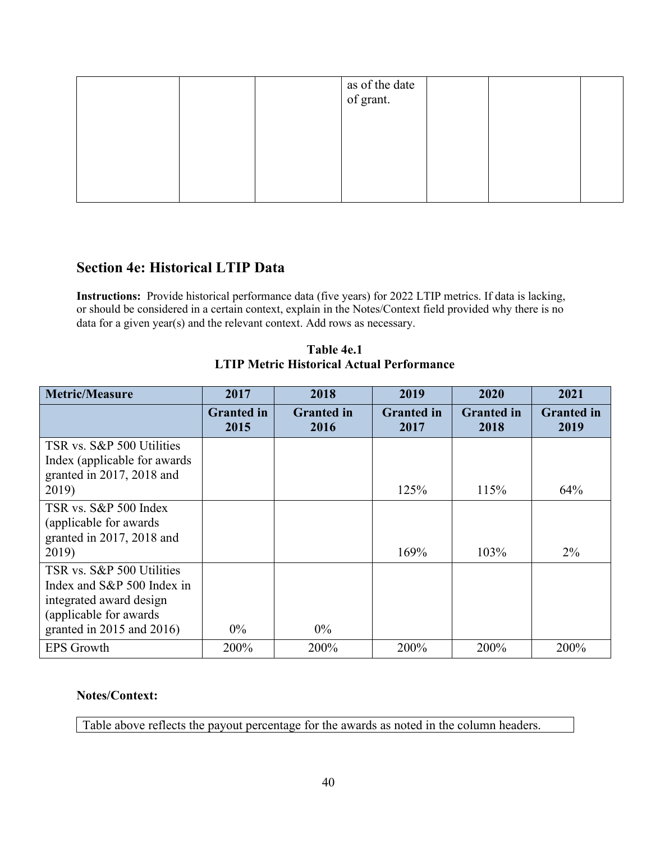|  | as of the date<br>of grant. |  |  |
|--|-----------------------------|--|--|
|  |                             |  |  |
|  |                             |  |  |
|  |                             |  |  |

## **Section 4e: Historical LTIP Data**

**Instructions:** Provide historical performance data (five years) for 2022 LTIP metrics. If data is lacking, or should be considered in a certain context, explain in the Notes/Context field provided why there is no data for a given year(s) and the relevant context. Add rows as necessary.

| Table 4e.1                                       |
|--------------------------------------------------|
| <b>LTIP Metric Historical Actual Performance</b> |

| <b>Metric/Measure</b>                                                                                                                           | 2017                      | 2018                      | 2019                      | 2020                      | 2021                      |
|-------------------------------------------------------------------------------------------------------------------------------------------------|---------------------------|---------------------------|---------------------------|---------------------------|---------------------------|
|                                                                                                                                                 | <b>Granted</b> in<br>2015 | <b>Granted</b> in<br>2016 | <b>Granted</b> in<br>2017 | <b>Granted</b> in<br>2018 | <b>Granted</b> in<br>2019 |
| TSR vs. S&P 500 Utilities<br>Index (applicable for awards)<br>granted in 2017, 2018 and<br>2019)                                                |                           |                           | 125%                      | 115%                      | 64%                       |
| TSR vs. S&P 500 Index<br>(applicable for awards)<br>granted in 2017, 2018 and<br>2019)                                                          |                           |                           | 169%                      | 103%                      | $2\%$                     |
| TSR vs. S&P 500 Utilities<br>Index and S&P 500 Index in<br>integrated award design<br>(applicable for awards)<br>granted in $2015$ and $2016$ ) | $0\%$                     | $0\%$                     |                           |                           |                           |
| <b>EPS Growth</b>                                                                                                                               | 200%                      | 200%                      | 200%                      | 200%                      | 200%                      |

### **Notes/Context:**

Table above reflects the payout percentage for the awards as noted in the column headers.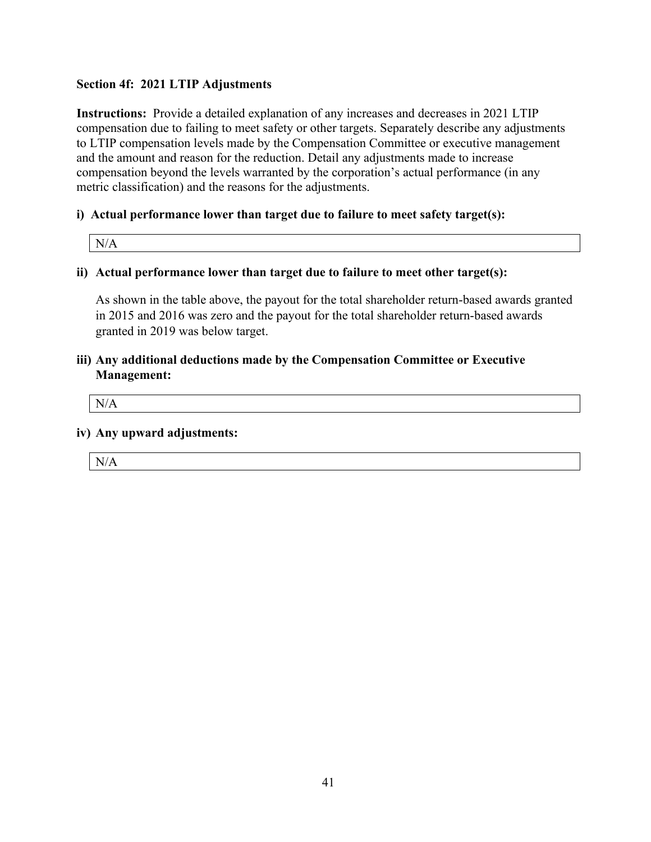### **Section 4f: 2021 LTIP Adjustments**

**Instructions:** Provide a detailed explanation of any increases and decreases in 2021 LTIP compensation due to failing to meet safety or other targets. Separately describe any adjustments to LTIP compensation levels made by the Compensation Committee or executive management and the amount and reason for the reduction. Detail any adjustments made to increase compensation beyond the levels warranted by the corporation's actual performance (in any metric classification) and the reasons for the adjustments.

### **i) Actual performance lower than target due to failure to meet safety target(s):**

## **ii) Actual performance lower than target due to failure to meet other target(s):**

As shown in the table above, the payout for the total shareholder return-based awards granted in 2015 and 2016 was zero and the payout for the total shareholder return-based awards granted in 2019 was below target.

### **iii) Any additional deductions made by the Compensation Committee or Executive Management:**

N/A

### **iv) Any upward adjustments:**

| $\rm N/$ |  |  |  |
|----------|--|--|--|
|          |  |  |  |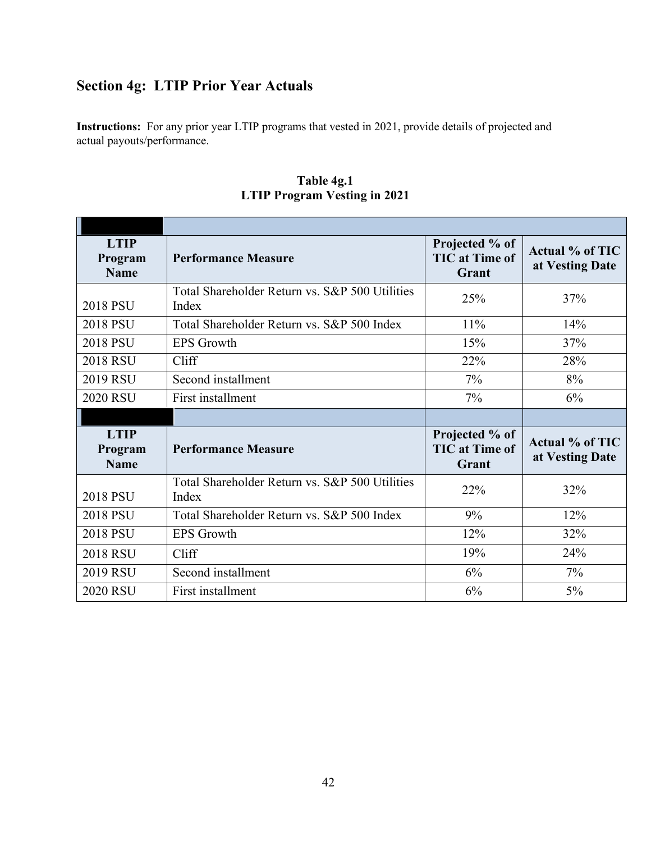# **Section 4g: LTIP Prior Year Actuals**

**Instructions:** For any prior year LTIP programs that vested in 2021, provide details of projected and actual payouts/performance.

| <b>LTIP</b><br>Program<br><b>Name</b> | <b>Performance Measure</b>                              | Projected % of<br><b>TIC</b> at Time of<br>Grant | Actual % of TIC<br>at Vesting Date        |
|---------------------------------------|---------------------------------------------------------|--------------------------------------------------|-------------------------------------------|
| <b>2018 PSU</b>                       | Total Shareholder Return vs. S&P 500 Utilities<br>Index | 25%                                              | 37%                                       |
| <b>2018 PSU</b>                       | Total Shareholder Return vs. S&P 500 Index              | 11%                                              | 14%                                       |
| <b>2018 PSU</b>                       | <b>EPS Growth</b>                                       | 15%                                              | 37%                                       |
| <b>2018 RSU</b>                       | Cliff                                                   | 22%                                              | 28%                                       |
| 2019 RSU                              | Second installment                                      | $7\%$                                            | 8%                                        |
| <b>2020 RSU</b>                       | First installment                                       | $7\%$                                            | 6%                                        |
|                                       |                                                         |                                                  |                                           |
|                                       |                                                         |                                                  |                                           |
| <b>LTIP</b><br>Program<br><b>Name</b> | <b>Performance Measure</b>                              | Projected % of<br><b>TIC</b> at Time of<br>Grant | <b>Actual % of TIC</b><br>at Vesting Date |
| 2018 PSU                              | Total Shareholder Return vs. S&P 500 Utilities<br>Index | 22%                                              | 32%                                       |
| <b>2018 PSU</b>                       | Total Shareholder Return vs. S&P 500 Index              | 9%                                               | 12%                                       |
| <b>2018 PSU</b>                       | <b>EPS</b> Growth                                       | 12%                                              | 32%                                       |
| <b>2018 RSU</b>                       | Cliff                                                   | 19%                                              | 24%                                       |
| 2019 RSU                              | Second installment                                      | 6%                                               | 7%                                        |

**Table 4g.1 LTIP Program Vesting in 2021**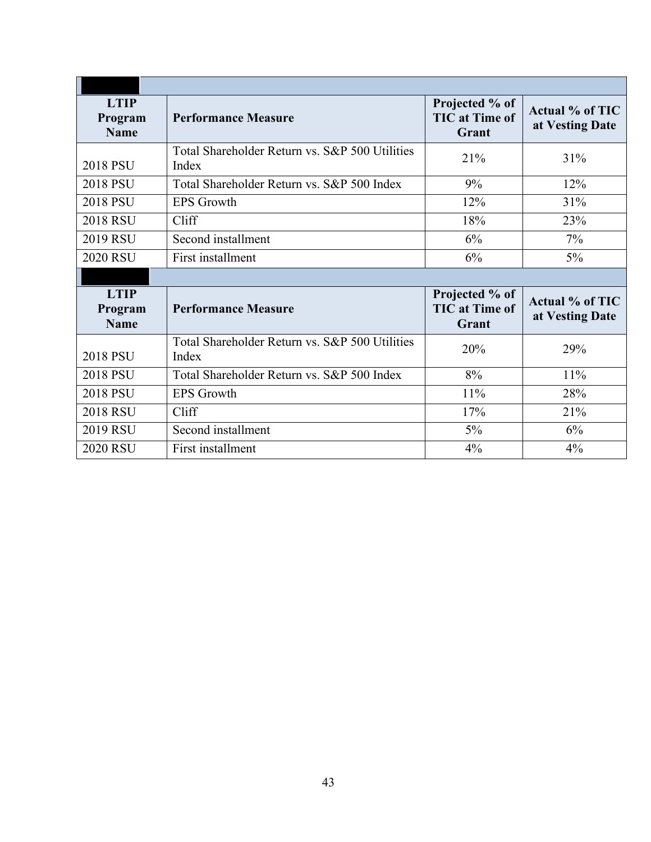| <b>LTIP</b><br>Program<br><b>Name</b> | <b>Performance Measure</b>                              | Projected % of<br><b>TIC</b> at Time of<br>Grant | <b>Actual % of TIC</b><br>at Vesting Date |
|---------------------------------------|---------------------------------------------------------|--------------------------------------------------|-------------------------------------------|
| 2018 PSU                              | Total Shareholder Return vs. S&P 500 Utilities<br>Index | 21%                                              | 31%                                       |
| <b>2018 PSU</b>                       | Total Shareholder Return vs. S&P 500 Index              | 9%                                               | 12%                                       |
| 2018 PSU                              | <b>EPS</b> Growth                                       | 12%                                              | 31%                                       |
| <b>2018 RSU</b>                       | Cliff                                                   | 18%                                              | 23%                                       |
| 2019 RSU                              | Second installment                                      | 6%                                               | $7\%$                                     |
| <b>2020 RSU</b>                       | First installment                                       | 6%                                               | $5\%$                                     |
|                                       |                                                         |                                                  |                                           |
|                                       |                                                         |                                                  |                                           |
| <b>LTIP</b><br>Program<br><b>Name</b> | <b>Performance Measure</b>                              | Projected % of<br><b>TIC</b> at Time of<br>Grant | <b>Actual % of TIC</b><br>at Vesting Date |
| <b>2018 PSU</b>                       | Total Shareholder Return vs. S&P 500 Utilities<br>Index | 20%                                              | 29%                                       |
| <b>2018 PSU</b>                       | Total Shareholder Return vs. S&P 500 Index              | 8%                                               | 11%                                       |
| <b>2018 PSU</b>                       | <b>EPS</b> Growth                                       | 11%                                              | 28%                                       |
| <b>2018 RSU</b>                       | Cliff                                                   | 17%                                              | 21%                                       |
| 2019 RSU                              | Second installment                                      | $5\%$                                            | 6%                                        |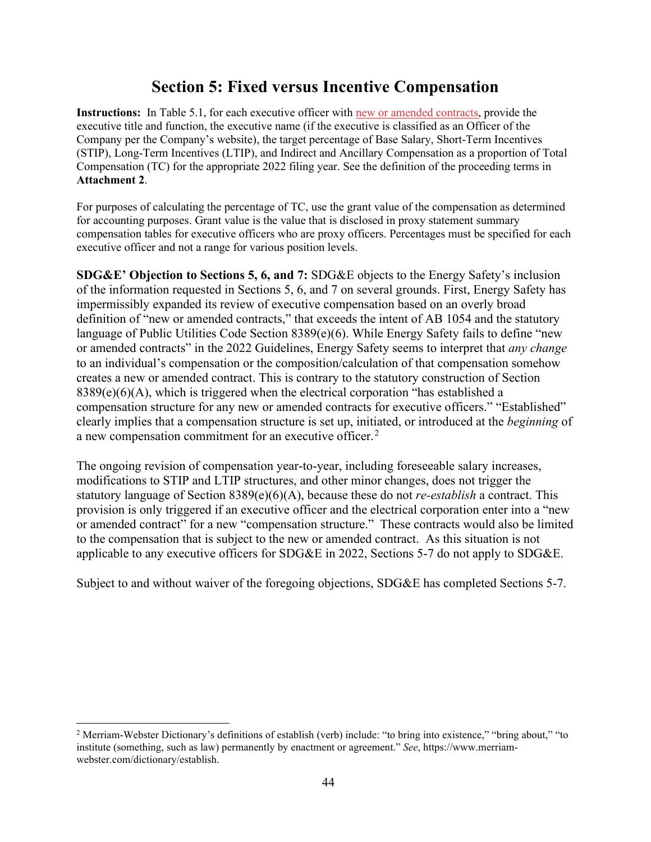# **Section 5: Fixed versus Incentive Compensation**

**Instructions:** In Table 5.1, for each executive officer with new or amended contracts, provide the executive title and function, the executive name (if the executive is classified as an Officer of the Company per the Company's website), the target percentage of Base Salary, Short-Term Incentives (STIP), Long-Term Incentives (LTIP), and Indirect and Ancillary Compensation as a proportion of Total Compensation (TC) for the appropriate 2022 filing year. See the definition of the proceeding terms in **Attachment 2**.

For purposes of calculating the percentage of TC, use the grant value of the compensation as determined for accounting purposes. Grant value is the value that is disclosed in proxy statement summary compensation tables for executive officers who are proxy officers. Percentages must be specified for each executive officer and not a range for various position levels.

**SDG&E' Objection to Sections 5, 6, and 7:** SDG&E objects to the Energy Safety's inclusion of the information requested in Sections 5, 6, and 7 on several grounds. First, Energy Safety has impermissibly expanded its review of executive compensation based on an overly broad definition of "new or amended contracts," that exceeds the intent of AB 1054 and the statutory language of Public Utilities Code Section 8389(e)(6). While Energy Safety fails to define "new or amended contracts" in the 2022 Guidelines, Energy Safety seems to interpret that *any change* to an individual's compensation or the composition/calculation of that compensation somehow creates a new or amended contract. This is contrary to the statutory construction of Section 8389(e)(6)(A), which is triggered when the electrical corporation "has established a compensation structure for any new or amended contracts for executive officers." "Established" clearly implies that a compensation structure is set up, initiated, or introduced at the *beginning* of a new compensation commitment for an executive officer.<sup>[2](#page-43-0)</sup>

The ongoing revision of compensation year-to-year, including foreseeable salary increases, modifications to STIP and LTIP structures, and other minor changes, does not trigger the statutory language of Section 8389(e)(6)(A), because these do not *re-establish* a contract. This provision is only triggered if an executive officer and the electrical corporation enter into a "new or amended contract" for a new "compensation structure." These contracts would also be limited to the compensation that is subject to the new or amended contract. As this situation is not applicable to any executive officers for SDG&E in 2022, Sections 5-7 do not apply to SDG&E.

Subject to and without waiver of the foregoing objections, SDG&E has completed Sections 5-7.

<span id="page-43-0"></span><sup>2</sup> Merriam-Webster Dictionary's definitions of establish (verb) include: "to bring into existence," "bring about," "to institute (something, such as law) permanently by enactment or agreement." *See*, https://www.merriamwebster.com/dictionary/establish.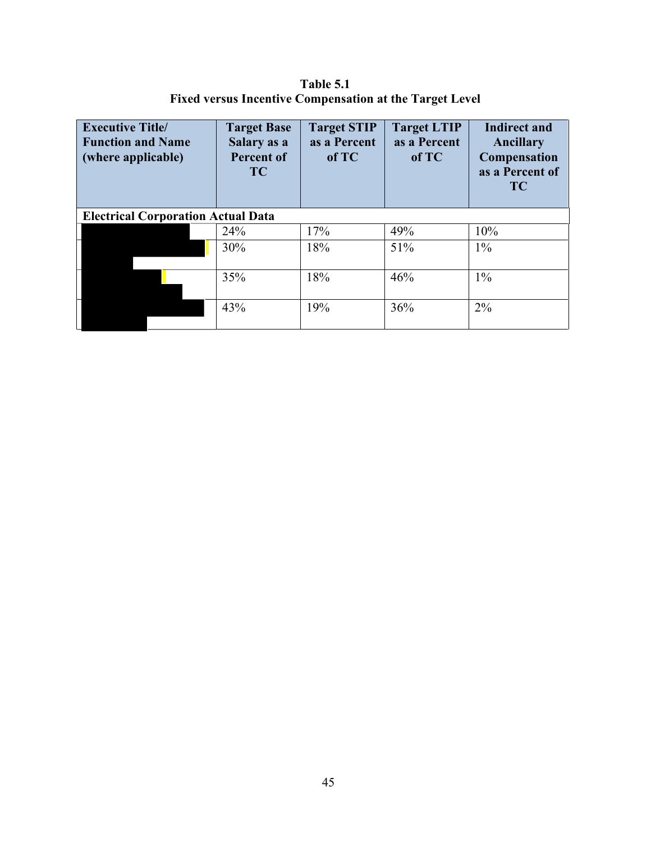**Table 5.1 Fixed versus Incentive Compensation at the Target Level**

| <b>Executive Title/</b><br><b>Function and Name</b><br>(where applicable) | <b>Target Base</b><br>Salary as a<br><b>Percent of</b><br><b>TC</b> | <b>Target STIP</b><br>as a Percent<br>of TC | <b>Target LTIP</b><br>as a Percent<br>of TC | <b>Indirect and</b><br>Ancillary<br><b>Compensation</b><br>as a Percent of<br><b>TC</b> |
|---------------------------------------------------------------------------|---------------------------------------------------------------------|---------------------------------------------|---------------------------------------------|-----------------------------------------------------------------------------------------|
| <b>Electrical Corporation Actual Data</b>                                 |                                                                     |                                             |                                             |                                                                                         |
|                                                                           | 24%                                                                 | 17%                                         | 49%                                         | 10%                                                                                     |
|                                                                           | 30%                                                                 | 18%                                         | 51%                                         | $1\%$                                                                                   |
|                                                                           | 35%                                                                 | 18%                                         | 46%                                         | $1\%$                                                                                   |
|                                                                           | 43%                                                                 | 19%                                         | 36%                                         | $2\%$                                                                                   |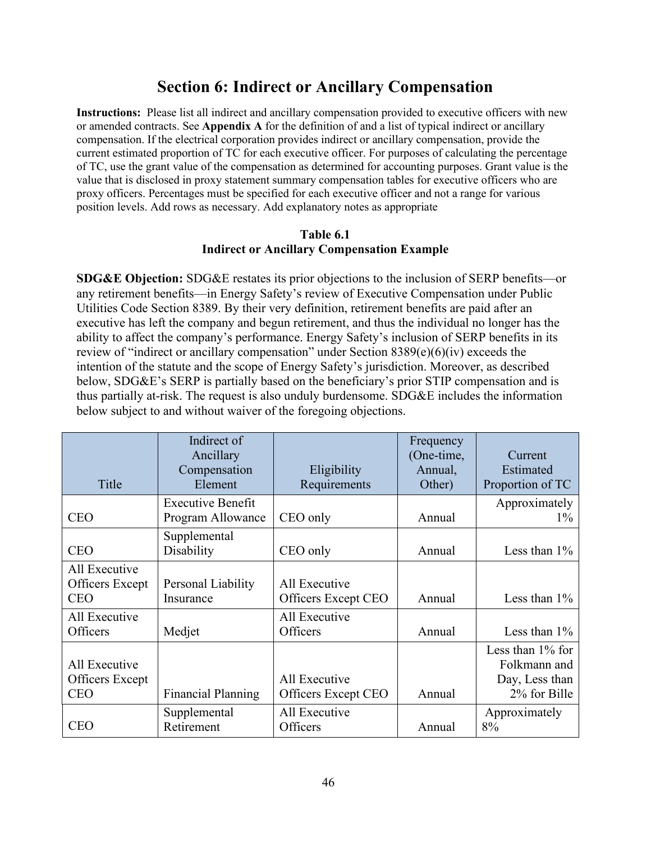# **Section 6: Indirect or Ancillary Compensation**

**Instructions:** Please list all indirect and ancillary compensation provided to executive officers with new or amended contracts. See **Appendix A** for the definition of and a list of typical indirect or ancillary compensation. If the electrical corporation provides indirect or ancillary compensation, provide the current estimated proportion of TC for each executive officer. For purposes of calculating the percentage of TC, use the grant value of the compensation as determined for accounting purposes. Grant value is the value that is disclosed in proxy statement summary compensation tables for executive officers who are proxy officers. Percentages must be specified for each executive officer and not a range for various position levels. Add rows as necessary. Add explanatory notes as appropriate

#### **Table 6.1 Indirect or Ancillary Compensation Example**

**SDG&E Objection:** SDG&E restates its prior objections to the inclusion of SERP benefits—or any retirement benefits—in Energy Safety's review of Executive Compensation under Public Utilities Code Section 8389. By their very definition, retirement benefits are paid after an executive has left the company and begun retirement, and thus the individual no longer has the ability to affect the company's performance. Energy Safety's inclusion of SERP benefits in its review of "indirect or ancillary compensation" under Section 8389(e)(6)(iv) exceeds the intention of the statute and the scope of Energy Safety's jurisdiction. Moreover, as described below, SDG&E's SERP is partially based on the beneficiary's prior STIP compensation and is thus partially at-risk. The request is also unduly burdensome. SDG&E includes the information below subject to and without waiver of the foregoing objections.

| Title                                          | Indirect of<br>Ancillary<br>Compensation<br>Element | Eligibility<br>Requirements          | Frequency<br>(One-time,<br>Annual,<br>Other) | Current<br>Estimated<br>Proportion of TC                              |
|------------------------------------------------|-----------------------------------------------------|--------------------------------------|----------------------------------------------|-----------------------------------------------------------------------|
| <b>CEO</b>                                     | <b>Executive Benefit</b><br>Program Allowance       | CEO only                             | Annual                                       | Approximately<br>$1\%$                                                |
| <b>CEO</b>                                     | Supplemental<br>Disability                          | CEO only                             | Annual                                       | Less than $1\%$                                                       |
| All Executive<br>Officers Except<br><b>CEO</b> | Personal Liability<br>Insurance                     | All Executive<br>Officers Except CEO | Annual                                       | Less than $1\%$                                                       |
| All Executive<br>Officers                      | Medjet                                              | All Executive<br>Officers            | Annual                                       | Less than $1\%$                                                       |
| All Executive<br>Officers Except<br><b>CEO</b> | <b>Financial Planning</b>                           | All Executive<br>Officers Except CEO | Annual                                       | Less than $1\%$ for<br>Folkmann and<br>Day, Less than<br>2% for Bille |
| <b>CEO</b>                                     | Supplemental<br>Retirement                          | All Executive<br>Officers            | Annual                                       | Approximately<br>8%                                                   |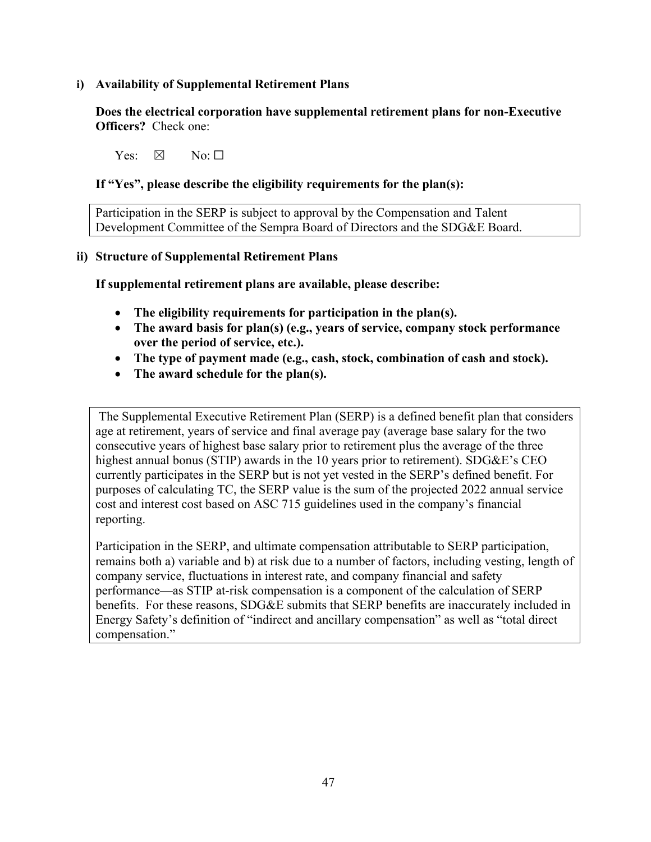## **i) Availability of Supplemental Retirement Plans**

**Does the electrical corporation have supplemental retirement plans for non-Executive Officers?** Check one:

 $Yes: \ \boxtimes \ \cong \text{No} \cdot \Box$ 

## **If "Yes", please describe the eligibility requirements for the plan(s):**

Participation in the SERP is subject to approval by the Compensation and Talent Development Committee of the Sempra Board of Directors and the SDG&E Board.

## **ii) Structure of Supplemental Retirement Plans**

**If supplemental retirement plans are available, please describe:** 

- **The eligibility requirements for participation in the plan(s).**
- **The award basis for plan(s) (e.g., years of service, company stock performance over the period of service, etc.).**
- **The type of payment made (e.g., cash, stock, combination of cash and stock).**
- **The award schedule for the plan(s).**

The Supplemental Executive Retirement Plan (SERP) is a defined benefit plan that considers age at retirement, years of service and final average pay (average base salary for the two consecutive years of highest base salary prior to retirement plus the average of the three highest annual bonus (STIP) awards in the 10 years prior to retirement). SDG&E's CEO currently participates in the SERP but is not yet vested in the SERP's defined benefit. For purposes of calculating TC, the SERP value is the sum of the projected 2022 annual service cost and interest cost based on ASC 715 guidelines used in the company's financial reporting.

Participation in the SERP, and ultimate compensation attributable to SERP participation, remains both a) variable and b) at risk due to a number of factors, including vesting, length of company service, fluctuations in interest rate, and company financial and safety performance—as STIP at-risk compensation is a component of the calculation of SERP benefits. For these reasons, SDG&E submits that SERP benefits are inaccurately included in Energy Safety's definition of "indirect and ancillary compensation" as well as "total direct compensation."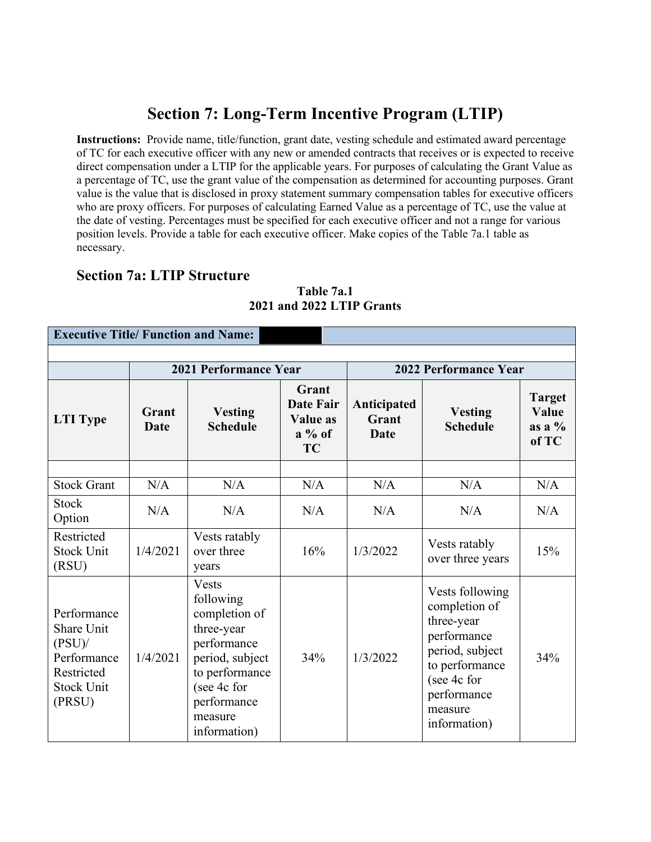# **Section 7: Long-Term Incentive Program (LTIP)**

**Instructions:** Provide name, title/function, grant date, vesting schedule and estimated award percentage of TC for each executive officer with any new or amended contracts that receives or is expected to receive direct compensation under a LTIP for the applicable years. For purposes of calculating the Grant Value as a percentage of TC, use the grant value of the compensation as determined for accounting purposes. Grant value is the value that is disclosed in proxy statement summary compensation tables for executive officers who are proxy officers. For purposes of calculating Earned Value as a percentage of TC, use the value at the date of vesting. Percentages must be specified for each executive officer and not a range for various position levels. Provide a table for each executive officer. Make copies of the Table 7a.1 table as necessary.

## **Section 7a: LTIP Structure**

|                                                                                                    |                      | 2021 Performance Year                                                                                                                                                 |                                                                | <b>2022 Performance Year</b>        |                                                                                                                                                             |                                             |
|----------------------------------------------------------------------------------------------------|----------------------|-----------------------------------------------------------------------------------------------------------------------------------------------------------------------|----------------------------------------------------------------|-------------------------------------|-------------------------------------------------------------------------------------------------------------------------------------------------------------|---------------------------------------------|
| <b>LTI</b> Type                                                                                    | Grant<br><b>Date</b> | <b>Vesting</b><br><b>Schedule</b>                                                                                                                                     | Grant<br><b>Date Fair</b><br>Value as<br>$a\%$ of<br><b>TC</b> | Anticipated<br>Grant<br><b>Date</b> | <b>Vesting</b><br><b>Schedule</b>                                                                                                                           | <b>Target</b><br>Value<br>as a $%$<br>of TC |
| <b>Stock Grant</b>                                                                                 | N/A                  | N/A                                                                                                                                                                   | N/A                                                            | N/A                                 | N/A                                                                                                                                                         | N/A                                         |
| <b>Stock</b><br>Option                                                                             | N/A                  | N/A                                                                                                                                                                   | N/A                                                            | N/A                                 | N/A                                                                                                                                                         | N/A                                         |
| Restricted<br><b>Stock Unit</b><br>(RSU)                                                           | 1/4/2021             | Vests ratably<br>over three<br>years                                                                                                                                  | 16%                                                            | 1/3/2022                            | Vests ratably<br>over three years                                                                                                                           | 15%                                         |
| Performance<br>Share Unit<br>$(PSU)$ /<br>Performance<br>Restricted<br><b>Stock Unit</b><br>(PRSU) | 1/4/2021             | <b>Vests</b><br>following<br>completion of<br>three-year<br>performance<br>period, subject<br>to performance<br>(see 4c for<br>performance<br>measure<br>information) | 34%                                                            | 1/3/2022                            | Vests following<br>completion of<br>three-year<br>performance<br>period, subject<br>to performance<br>(see 4c for<br>performance<br>measure<br>information) | 34%                                         |

## **Table 7a.1 2021 and 2022 LTIP Grants**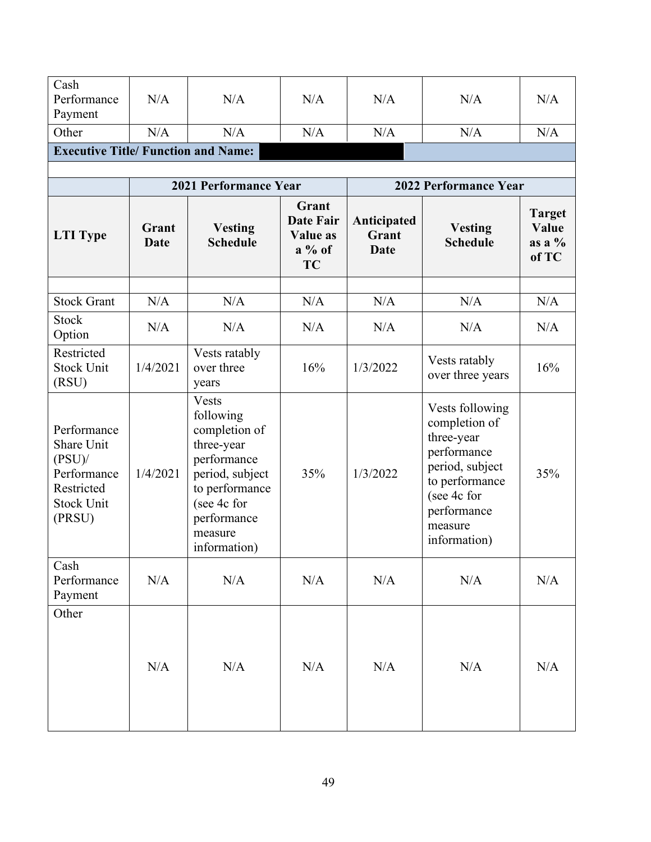| Cash<br>Performance<br>Payment                                                                     | N/A           | N/A                                                                                                                                                                   | N/A                                                            | N/A                                 | N/A                                                                                                                                                         | N/A                                         |
|----------------------------------------------------------------------------------------------------|---------------|-----------------------------------------------------------------------------------------------------------------------------------------------------------------------|----------------------------------------------------------------|-------------------------------------|-------------------------------------------------------------------------------------------------------------------------------------------------------------|---------------------------------------------|
| Other                                                                                              | N/A           | N/A                                                                                                                                                                   | N/A                                                            | N/A                                 | N/A                                                                                                                                                         | N/A                                         |
| <b>Executive Title/ Function and Name:</b>                                                         |               |                                                                                                                                                                       |                                                                |                                     |                                                                                                                                                             |                                             |
|                                                                                                    |               |                                                                                                                                                                       |                                                                |                                     |                                                                                                                                                             |                                             |
|                                                                                                    |               | 2021 Performance Year                                                                                                                                                 |                                                                |                                     | 2022 Performance Year                                                                                                                                       |                                             |
| <b>LTI</b> Type                                                                                    | Grant<br>Date | <b>Vesting</b><br><b>Schedule</b>                                                                                                                                     | Grant<br><b>Date Fair</b><br>Value as<br>$a\%$ of<br><b>TC</b> | Anticipated<br>Grant<br><b>Date</b> | <b>Vesting</b><br><b>Schedule</b>                                                                                                                           | <b>Target</b><br>Value<br>as a $%$<br>of TC |
| <b>Stock Grant</b>                                                                                 | N/A           | N/A                                                                                                                                                                   | N/A                                                            | N/A                                 | N/A                                                                                                                                                         | N/A                                         |
| <b>Stock</b><br>Option                                                                             | N/A           | N/A                                                                                                                                                                   | N/A                                                            | N/A                                 | N/A                                                                                                                                                         | N/A                                         |
| Restricted<br><b>Stock Unit</b><br>(RSU)                                                           | 1/4/2021      | Vests ratably<br>over three<br>years                                                                                                                                  | 16%                                                            | 1/3/2022                            | Vests ratably<br>over three years                                                                                                                           | 16%                                         |
| Performance<br>Share Unit<br>$(PSU)$ /<br>Performance<br>Restricted<br><b>Stock Unit</b><br>(PRSU) | 1/4/2021      | <b>Vests</b><br>following<br>completion of<br>three-year<br>performance<br>period, subject<br>to performance<br>(see 4c for<br>performance<br>measure<br>information) | 35%                                                            | 1/3/2022                            | Vests following<br>completion of<br>three-year<br>performance<br>period, subject<br>to performance<br>(see 4c for<br>performance<br>measure<br>information) | 35%                                         |
| Cash<br>Performance<br>Payment                                                                     | N/A           | N/A                                                                                                                                                                   | N/A                                                            | N/A                                 | N/A                                                                                                                                                         | N/A                                         |
| Other                                                                                              | N/A           | N/A                                                                                                                                                                   | N/A                                                            | N/A                                 | N/A                                                                                                                                                         | N/A                                         |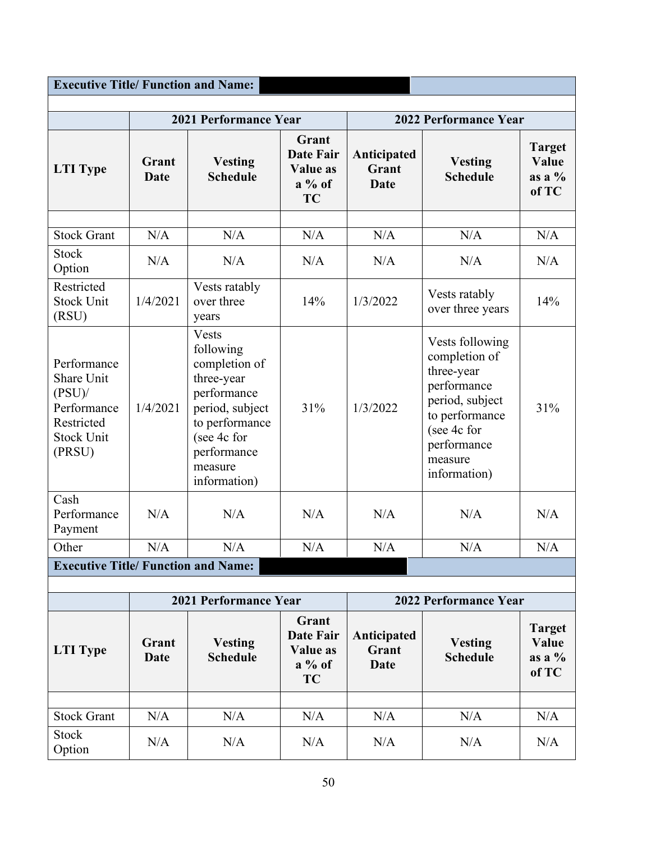| <b>Executive Title/ Function and Name:</b>                                                         |                      |                                                                                                                                                                       |                                                                |                                     |                                                                                                                                                             |                                             |
|----------------------------------------------------------------------------------------------------|----------------------|-----------------------------------------------------------------------------------------------------------------------------------------------------------------------|----------------------------------------------------------------|-------------------------------------|-------------------------------------------------------------------------------------------------------------------------------------------------------------|---------------------------------------------|
|                                                                                                    |                      | 2021 Performance Year                                                                                                                                                 |                                                                |                                     | 2022 Performance Year                                                                                                                                       |                                             |
| <b>LTI Type</b>                                                                                    | Grant<br>Date        | <b>Vesting</b><br><b>Schedule</b>                                                                                                                                     | Grant<br>Date Fair<br><b>Value as</b><br>$a\%$ of<br><b>TC</b> | Anticipated<br>Grant<br><b>Date</b> | <b>Vesting</b><br><b>Schedule</b>                                                                                                                           | <b>Target</b><br>Value<br>as a $%$<br>of TC |
| <b>Stock Grant</b>                                                                                 | N/A                  | N/A                                                                                                                                                                   | N/A                                                            | N/A                                 | N/A                                                                                                                                                         | N/A                                         |
| <b>Stock</b><br>Option                                                                             | N/A                  | N/A                                                                                                                                                                   | N/A                                                            | N/A                                 | N/A                                                                                                                                                         | N/A                                         |
| Restricted<br><b>Stock Unit</b><br>(RSU)                                                           | 1/4/2021             | Vests ratably<br>over three<br>years                                                                                                                                  | 14%                                                            | 1/3/2022                            | Vests ratably<br>over three years                                                                                                                           | 14%                                         |
| Performance<br>Share Unit<br>$(PSU)$ /<br>Performance<br>Restricted<br><b>Stock Unit</b><br>(PRSU) | 1/4/2021             | <b>Vests</b><br>following<br>completion of<br>three-year<br>performance<br>period, subject<br>to performance<br>(see 4c for<br>performance<br>measure<br>information) | 31%                                                            | 1/3/2022                            | Vests following<br>completion of<br>three-year<br>performance<br>period, subject<br>to performance<br>(see 4c for<br>performance<br>measure<br>information) | 31%                                         |
| Cash<br>Performance<br>Payment                                                                     | N/A                  | N/A                                                                                                                                                                   | N/A                                                            | N/A                                 | N/A                                                                                                                                                         | N/A                                         |
| Other                                                                                              | $\rm N/A$            | N/A                                                                                                                                                                   | $\rm N/A$                                                      | $\rm N/A$                           | N/A                                                                                                                                                         | N/A                                         |
| <b>Executive Title/ Function and Name:</b>                                                         |                      |                                                                                                                                                                       |                                                                |                                     |                                                                                                                                                             |                                             |
|                                                                                                    |                      | 2021 Performance Year                                                                                                                                                 |                                                                |                                     | 2022 Performance Year                                                                                                                                       |                                             |
| <b>LTI</b> Type                                                                                    | Grant<br><b>Date</b> | <b>Vesting</b><br><b>Schedule</b>                                                                                                                                     | Grant<br>Date Fair<br><b>Value as</b><br>$a\%$ of<br><b>TC</b> | Anticipated<br>Grant<br><b>Date</b> | <b>Vesting</b><br><b>Schedule</b>                                                                                                                           | <b>Target</b><br>Value<br>as a $%$<br>of TC |
| <b>Stock Grant</b>                                                                                 | N/A                  | N/A                                                                                                                                                                   | N/A                                                            | N/A                                 | N/A                                                                                                                                                         | N/A                                         |
| <b>Stock</b><br>Option                                                                             | N/A                  | N/A                                                                                                                                                                   | N/A                                                            | N/A                                 | N/A                                                                                                                                                         | N/A                                         |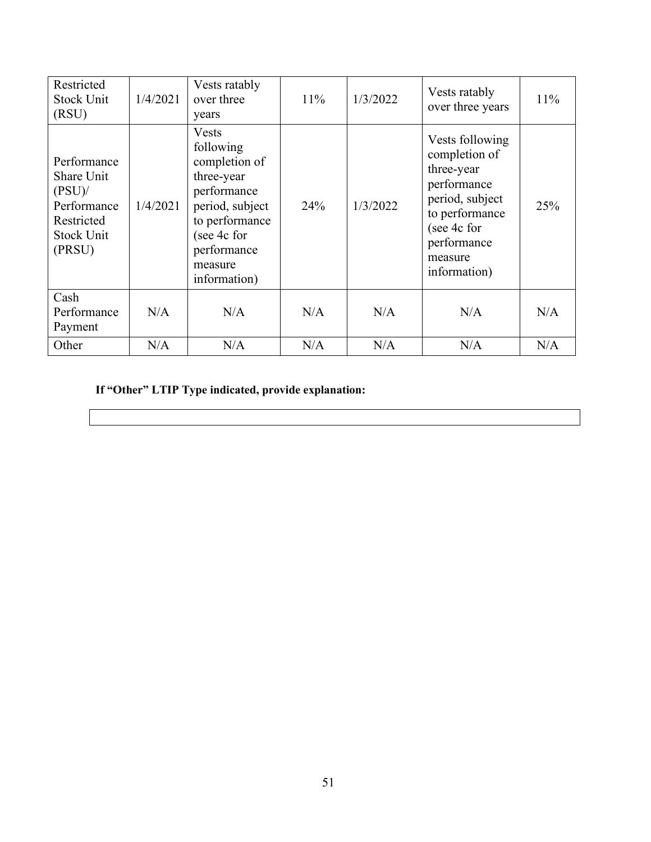| Restricted<br><b>Stock Unit</b><br>(RSU)                                                           | 1/4/2021 | Vests ratably<br>over three<br>years                                                                                                                                  | 11% | 1/3/2022 | Vests ratably<br>over three years                                                                                                                           | 11% |
|----------------------------------------------------------------------------------------------------|----------|-----------------------------------------------------------------------------------------------------------------------------------------------------------------------|-----|----------|-------------------------------------------------------------------------------------------------------------------------------------------------------------|-----|
| Performance<br>Share Unit<br>$(PSU)$ /<br>Performance<br>Restricted<br><b>Stock Unit</b><br>(PRSU) | 1/4/2021 | <b>Vests</b><br>following<br>completion of<br>three-year<br>performance<br>period, subject<br>to performance<br>(see 4c for<br>performance<br>measure<br>information) | 24% | 1/3/2022 | Vests following<br>completion of<br>three-year<br>performance<br>period, subject<br>to performance<br>(see 4c for<br>performance<br>measure<br>information) | 25% |
| Cash<br>Performance<br>Payment                                                                     | N/A      | N/A                                                                                                                                                                   | N/A | N/A      | N/A                                                                                                                                                         | N/A |
| Other                                                                                              | N/A      | N/A                                                                                                                                                                   | N/A | N/A      | N/A                                                                                                                                                         | N/A |

**If "Other" LTIP Type indicated, provide explanation:**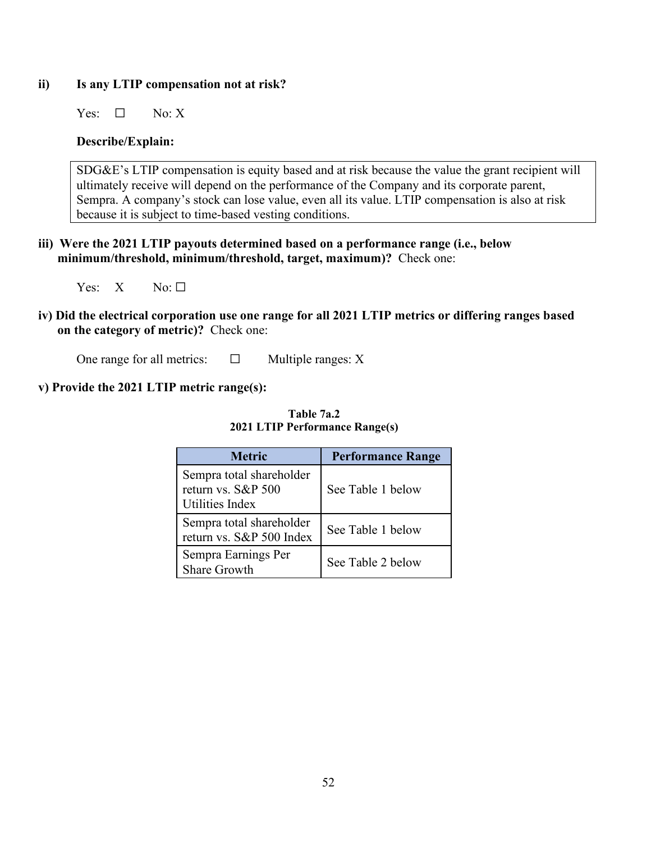## **ii) Is any LTIP compensation not at risk?**

Yes:  $\square$  No: X

## **Describe/Explain:**

SDG&E's LTIP compensation is equity based and at risk because the value the grant recipient will ultimately receive will depend on the performance of the Company and its corporate parent, Sempra. A company's stock can lose value, even all its value. LTIP compensation is also at risk because it is subject to time-based vesting conditions.

**iii) Were the 2021 LTIP payouts determined based on a performance range (i.e., below minimum/threshold, minimum/threshold, target, maximum)?** Check one:

Yes:  $X$  No:  $\Box$ 

**iv) Did the electrical corporation use one range for all 2021 LTIP metrics or differing ranges based on the category of metric)?** Check one:

One range for all metrics:  $□$  Multiple ranges: X

## **v) Provide the 2021 LTIP metric range(s):**

| <b>Metric</b>                                                            | <b>Performance Range</b> |
|--------------------------------------------------------------------------|--------------------------|
| Sempra total shareholder<br>return vs. S&P 500<br><b>Utilities Index</b> | See Table 1 below        |
| Sempra total shareholder<br>return vs. S&P 500 Index                     | See Table 1 below        |
| Sempra Earnings Per<br><b>Share Growth</b>                               | See Table 2 below        |

**Table 7a.2 2021 LTIP Performance Range(s)**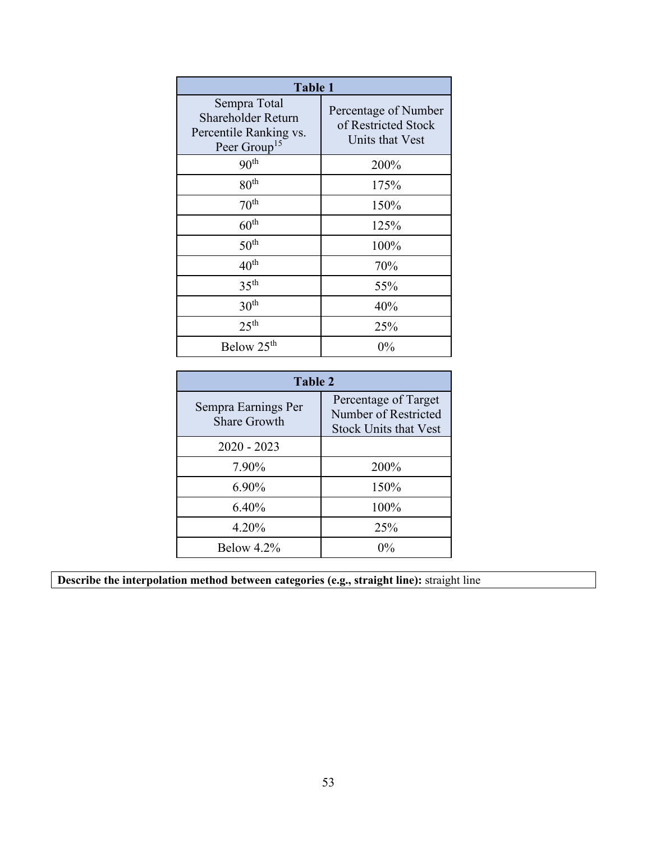| <b>Table 1</b>                                                                                  |                                                                |  |
|-------------------------------------------------------------------------------------------------|----------------------------------------------------------------|--|
| Sempra Total<br><b>Shareholder Return</b><br>Percentile Ranking vs.<br>Peer Group <sup>15</sup> | Percentage of Number<br>of Restricted Stock<br>Units that Vest |  |
| 90 <sup>th</sup>                                                                                | 200%                                                           |  |
| 80 <sup>th</sup>                                                                                | 175%                                                           |  |
| 70 <sup>th</sup>                                                                                | 150%                                                           |  |
| $60^{\text{th}}$                                                                                | 125%                                                           |  |
| 50 <sup>th</sup>                                                                                | 100%                                                           |  |
| 40 <sup>th</sup>                                                                                | 70%                                                            |  |
| 35 <sup>th</sup>                                                                                | 55%                                                            |  |
| 30 <sup>th</sup>                                                                                | 40%                                                            |  |
| 25 <sup>th</sup>                                                                                | 25%                                                            |  |
| Below 25 <sup>th</sup>                                                                          | $0\%$                                                          |  |

| Table 2                                    |                                                                              |  |
|--------------------------------------------|------------------------------------------------------------------------------|--|
| Sempra Earnings Per<br><b>Share Growth</b> | Percentage of Target<br>Number of Restricted<br><b>Stock Units that Vest</b> |  |
| $2020 - 2023$                              |                                                                              |  |
| 7.90%                                      | 200%                                                                         |  |
| 6.90%                                      | 150%                                                                         |  |
| 6.40%                                      | 100%                                                                         |  |
| 4.20%                                      | 25%                                                                          |  |
| Below $4.2\%$                              | $0\%$                                                                        |  |

**Describe the interpolation method between categories (e.g., straight line):** straight line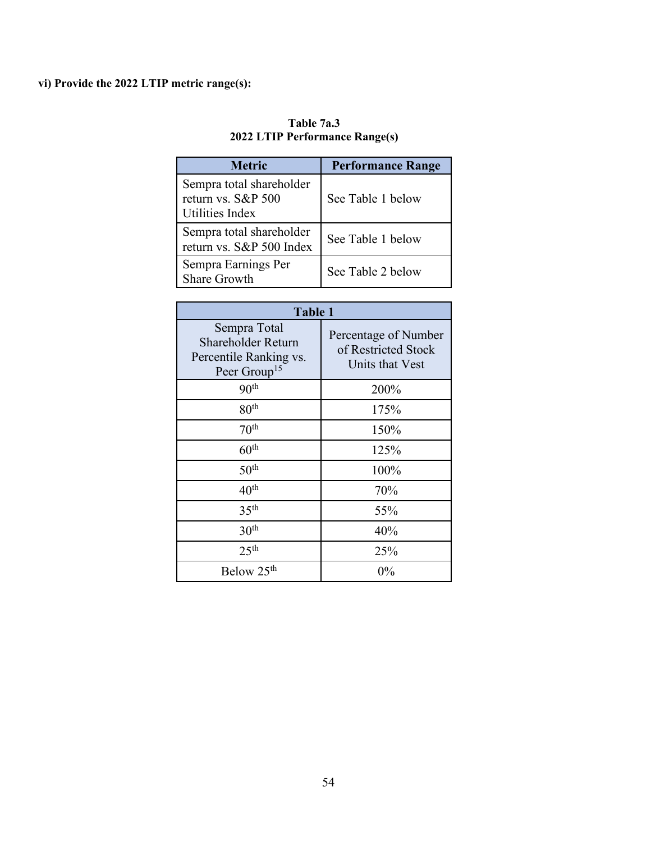## **vi) Provide the 2022 LTIP metric range(s):**

| <b>Metric</b>                                                            | <b>Performance Range</b> |
|--------------------------------------------------------------------------|--------------------------|
| Sempra total shareholder<br>return vs. S&P 500<br><b>Utilities Index</b> | See Table 1 below        |
| Sempra total shareholder<br>return vs. S&P 500 Index                     | See Table 1 below        |
| Sempra Earnings Per<br><b>Share Growth</b>                               | See Table 2 below        |

### **Table 7a.3 2022 LTIP Performance Range(s)**

| Table 1                                                                                  |                                                                |  |
|------------------------------------------------------------------------------------------|----------------------------------------------------------------|--|
| Sempra Total<br>Shareholder Return<br>Percentile Ranking vs.<br>Peer Group <sup>15</sup> | Percentage of Number<br>of Restricted Stock<br>Units that Vest |  |
| 90 <sup>th</sup>                                                                         | 200%                                                           |  |
| 80 <sup>th</sup>                                                                         | 175%                                                           |  |
| $70^{\text{th}}$                                                                         | 150%                                                           |  |
| 60 <sup>th</sup>                                                                         | 125%                                                           |  |
| 50 <sup>th</sup>                                                                         | 100%                                                           |  |
| $40^{\text{th}}$                                                                         | 70%                                                            |  |
| 35 <sup>th</sup>                                                                         | 55%                                                            |  |
| 30 <sup>th</sup>                                                                         | 40%                                                            |  |
| 25 <sup>th</sup>                                                                         | 25%                                                            |  |
| Below 25 <sup>th</sup>                                                                   | $0\%$                                                          |  |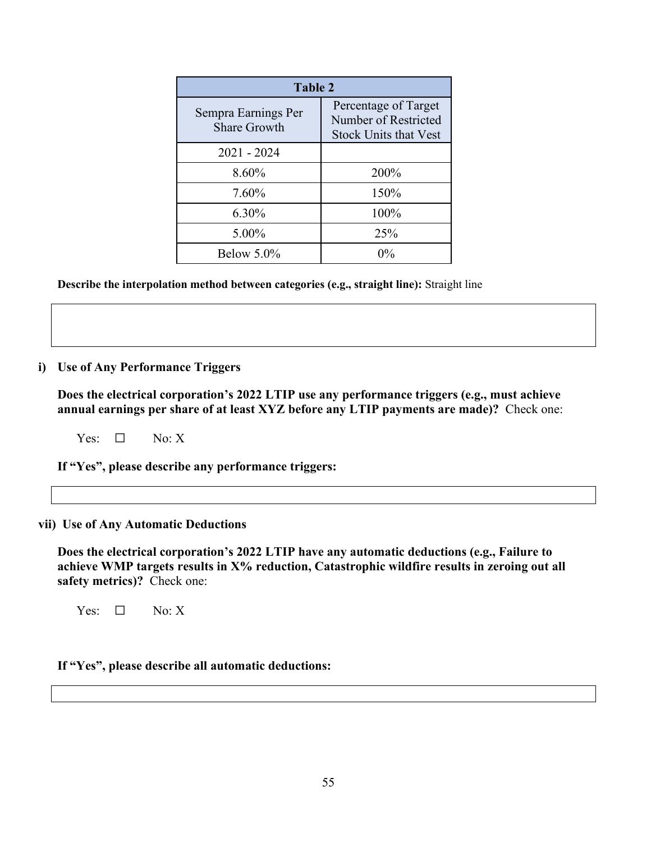| Table 2                                    |                                                                              |  |
|--------------------------------------------|------------------------------------------------------------------------------|--|
| Sempra Earnings Per<br><b>Share Growth</b> | Percentage of Target<br>Number of Restricted<br><b>Stock Units that Vest</b> |  |
| $2021 - 2024$                              |                                                                              |  |
| 8.60%                                      | 200%                                                                         |  |
| 7.60%                                      | 150%                                                                         |  |
| 6.30%                                      | 100%                                                                         |  |
| 5.00%                                      | 25%                                                                          |  |
| Below $5.0\%$                              | $0\%$                                                                        |  |

**Describe the interpolation method between categories (e.g., straight line):** Straight line

#### **i) Use of Any Performance Triggers**

**Does the electrical corporation's 2022 LTIP use any performance triggers (e.g., must achieve annual earnings per share of at least XYZ before any LTIP payments are made)?** Check one:

Yes:  $\Box$  No: X

**If "Yes", please describe any performance triggers:** 

#### **vii) Use of Any Automatic Deductions**

**Does the electrical corporation's 2022 LTIP have any automatic deductions (e.g., Failure to achieve WMP targets results in X% reduction, Catastrophic wildfire results in zeroing out all safety metrics)?** Check one:

Yes:  $\square$  No: X

#### **If "Yes", please describe all automatic deductions:**